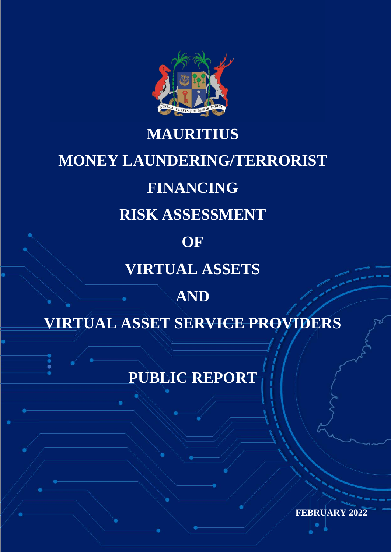

# **MAURITIUS MONEY LAUNDERING/TERRORIST FINANCING RISK ASSESSMENT OF VIRTUAL ASSETS AND VIRTUAL ASSET SERVICE PROVIDERS**

**PUBLIC REPORT**

**FEBRUARY 2022**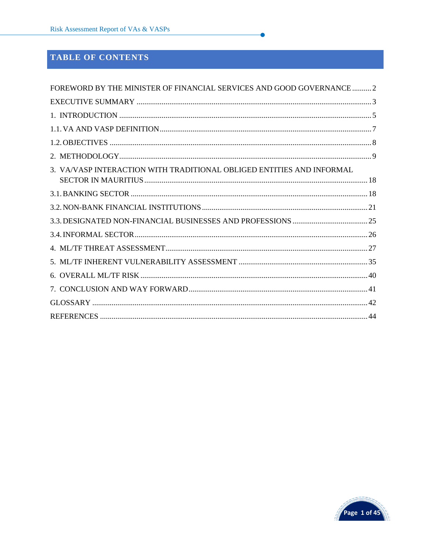# TABLE OF CONTENTS

| FOREWORD BY THE MINISTER OF FINANCIAL SERVICES AND GOOD GOVERNANCE 2  |  |
|-----------------------------------------------------------------------|--|
|                                                                       |  |
|                                                                       |  |
|                                                                       |  |
|                                                                       |  |
|                                                                       |  |
| 3. VA/VASP INTERACTION WITH TRADITIONAL OBLIGED ENTITIES AND INFORMAL |  |
|                                                                       |  |
|                                                                       |  |
|                                                                       |  |
|                                                                       |  |
|                                                                       |  |
|                                                                       |  |
|                                                                       |  |
|                                                                       |  |
|                                                                       |  |
|                                                                       |  |

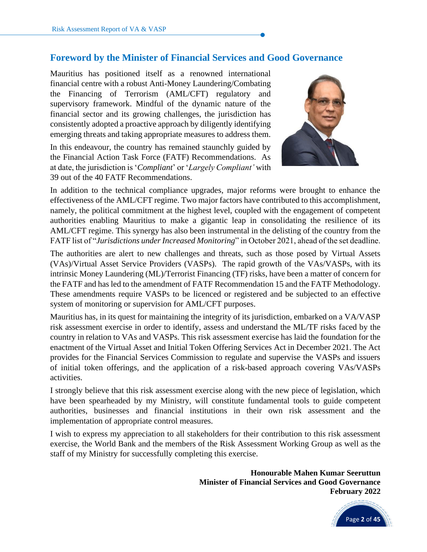# **Foreword by the Minister of Financial Services and Good Governance**

<span id="page-3-0"></span>Mauritius has positioned itself as a renowned international financial centre with a robust Anti-Money Laundering/Combating the Financing of Terrorism (AML/CFT) regulatory and supervisory framework. Mindful of the dynamic nature of the financial sector and its growing challenges, the jurisdiction has consistently adopted a proactive approach by diligently identifying emerging threats and taking appropriate measures to address them.

In this endeavour, the country has remained staunchly guided by the Financial Action Task Force (FATF) Recommendations. As at date, the jurisdiction is '*Compliant*' or '*Largely Compliant'* with 39 out of the 40 FATF Recommendations.



In addition to the technical compliance upgrades, major reforms were brought to enhance the effectiveness of the AML/CFT regime. Two major factors have contributed to this accomplishment, namely, the political commitment at the highest level, coupled with the engagement of competent authorities enabling Mauritius to make a gigantic leap in consolidating the resilience of its AML/CFT regime. This synergy has also been instrumental in the delisting of the country from the FATF list of "*Jurisdictions under Increased Monitoring*" in October 2021, ahead of the set deadline.

The authorities are alert to new challenges and threats, such as those posed by Virtual Assets (VAs)/Virtual Asset Service Providers (VASPs). The rapid growth of the VAs/VASPs, with its intrinsic Money Laundering (ML)/Terrorist Financing (TF) risks, have been a matter of concern for the FATF and has led to the amendment of FATF Recommendation 15 and the FATF Methodology. These amendments require VASPs to be licenced or registered and be subjected to an effective system of monitoring or supervision for AML/CFT purposes.

Mauritius has, in its quest for maintaining the integrity of its jurisdiction, embarked on a VA/VASP risk assessment exercise in order to identify, assess and understand the ML/TF risks faced by the country in relation to VAs and VASPs. This risk assessment exercise has laid the foundation for the enactment of the Virtual Asset and Initial Token Offering Services Act in December 2021. The Act provides for the Financial Services Commission to regulate and supervise the VASPs and issuers of initial token offerings, and the application of a risk-based approach covering VAs/VASPs activities.

I strongly believe that this risk assessment exercise along with the new piece of legislation, which have been spearheaded by my Ministry, will constitute fundamental tools to guide competent authorities, businesses and financial institutions in their own risk assessment and the implementation of appropriate control measures.

I wish to express my appreciation to all stakeholders for their contribution to this risk assessment exercise, the World Bank and the members of the Risk Assessment Working Group as well as the staff of my Ministry for successfully completing this exercise.

> **Honourable Mahen Kumar Seeruttun Minister of Financial Services and Good Governance February 2022**

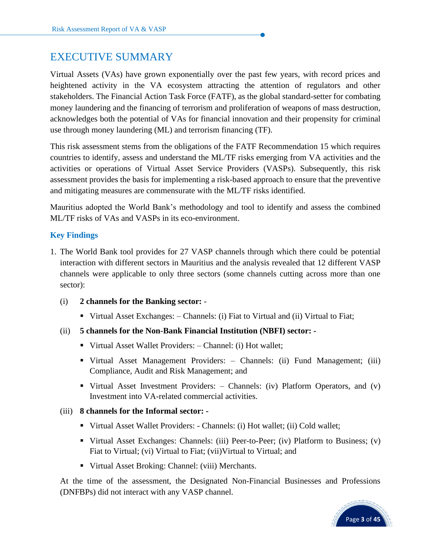# <span id="page-4-0"></span>EXECUTIVE SUMMARY

Virtual Assets (VAs) have grown exponentially over the past few years, with record prices and heightened activity in the VA ecosystem attracting the attention of regulators and other stakeholders. The Financial Action Task Force (FATF), as the global standard-setter for combating money laundering and the financing of terrorism and proliferation of weapons of mass destruction, acknowledges both the potential of VAs for financial innovation and their propensity for criminal use through money laundering (ML) and terrorism financing (TF).

This risk assessment stems from the obligations of the FATF Recommendation 15 which requires countries to identify, assess and understand the ML/TF risks emerging from VA activities and the activities or operations of Virtual Asset Service Providers (VASPs). Subsequently, this risk assessment provides the basis for implementing a risk-based approach to ensure that the preventive and mitigating measures are commensurate with the ML/TF risks identified.

Mauritius adopted the World Bank's methodology and tool to identify and assess the combined ML/TF risks of VAs and VASPs in its eco-environment.

## **Key Findings**

- 1. The World Bank tool provides for 27 VASP channels through which there could be potential interaction with different sectors in Mauritius and the analysis revealed that 12 different VASP channels were applicable to only three sectors (some channels cutting across more than one sector):
	- (i) **2 channels for the Banking sector:**
		- Virtual Asset Exchanges: Channels: (i) Fiat to Virtual and (ii) Virtual to Fiat;
	- (ii) **5 channels for the Non-Bank Financial Institution (NBFI) sector: -**
		- Virtual Asset Wallet Providers: Channel: (i) Hot wallet;
		- Virtual Asset Management Providers: Channels: (ii) Fund Management; (iii) Compliance, Audit and Risk Management; and
		- Virtual Asset Investment Providers: Channels: (iv) Platform Operators, and (v) Investment into VA-related commercial activities.

#### (iii) **8 channels for the Informal sector: -**

- Virtual Asset Wallet Providers: Channels: (i) Hot wallet; (ii) Cold wallet;
- Virtual Asset Exchanges: Channels: (iii) Peer-to-Peer; (iv) Platform to Business; (v) Fiat to Virtual; (vi) Virtual to Fiat; (vii)Virtual to Virtual; and
- Virtual Asset Broking: Channel: (viii) Merchants.

At the time of the assessment, the Designated Non-Financial Businesses and Professions (DNFBPs) did not interact with any VASP channel.

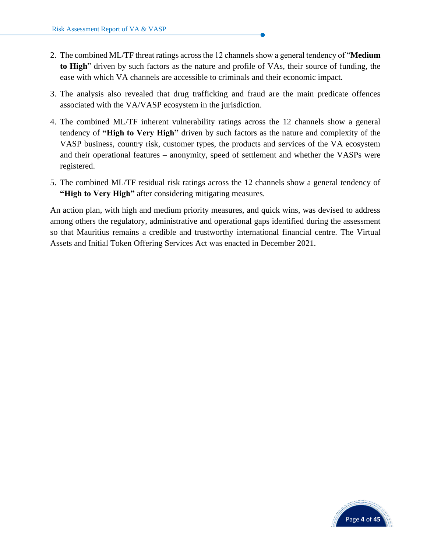- 2. The combined ML/TF threat ratings across the 12 channels show a general tendency of "**Medium to High**" driven by such factors as the nature and profile of VAs, their source of funding, the ease with which VA channels are accessible to criminals and their economic impact.
- 3. The analysis also revealed that drug trafficking and fraud are the main predicate offences associated with the VA/VASP ecosystem in the jurisdiction.
- 4. The combined ML/TF inherent vulnerability ratings across the 12 channels show a general tendency of **"High to Very High"** driven by such factors as the nature and complexity of the VASP business, country risk, customer types, the products and services of the VA ecosystem and their operational features – anonymity, speed of settlement and whether the VASPs were registered.
- 5. The combined ML/TF residual risk ratings across the 12 channels show a general tendency of **"High to Very High"** after considering mitigating measures.

An action plan, with high and medium priority measures, and quick wins, was devised to address among others the regulatory, administrative and operational gaps identified during the assessment so that Mauritius remains a credible and trustworthy international financial centre. The Virtual Assets and Initial Token Offering Services Act was enacted in December 2021.

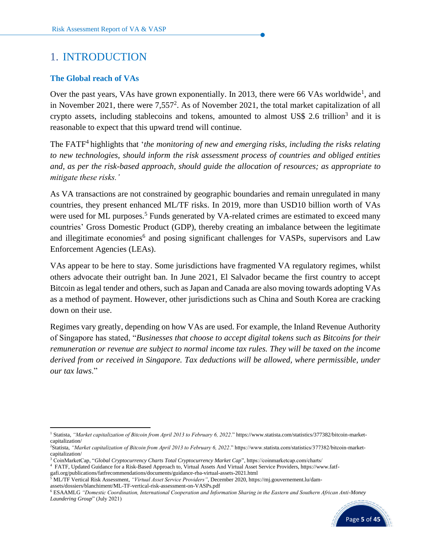# <span id="page-6-0"></span>1. INTRODUCTION

#### **The Global reach of VAs**

Over the past years, VAs have grown exponentially. In 2013, there were 66 VAs worldwide<sup>1</sup>, and in November 2021, there were  $7,557^2$ . As of November 2021, the total market capitalization of all crypto assets, including stablecoins and tokens, amounted to almost US\$ 2.6 trillion<sup>3</sup> and it is reasonable to expect that this upward trend will continue.

The FATF 4 highlights that '*the monitoring of new and emerging risks, including the risks relating to new technologies, should inform the risk assessment process of countries and obliged entities and, as per the risk-based approach, should guide the allocation of resources; as appropriate to mitigate these risks.'* 

As VA transactions are not constrained by geographic boundaries and remain unregulated in many countries, they present enhanced ML/TF risks. In 2019, more than USD10 billion worth of VAs were used for ML purposes.<sup>5</sup> Funds generated by VA-related crimes are estimated to exceed many countries' Gross Domestic Product (GDP), thereby creating an imbalance between the legitimate and illegitimate economies<sup>6</sup> and posing significant challenges for VASPs, supervisors and Law Enforcement Agencies (LEAs).

VAs appear to be here to stay. Some jurisdictions have fragmented VA regulatory regimes, whilst others advocate their outright ban. In June 2021, El Salvador became the first country to accept Bitcoin as legal tender and others, such as Japan and Canada are also moving towards adopting VAs as a method of payment. However, other jurisdictions such as China and South Korea are cracking down on their use.

Regimes vary greatly, depending on how VAs are used. For example, the Inland Revenue Authority of Singapore has stated, "*Businesses that choose to accept digital tokens such as Bitcoins for their remuneration or revenue are subject to normal income tax rules. They will be taxed on the income derived from or received in Singapore. Tax deductions will be allowed, where permissible, under our tax laws*."

assets/dossiers/blanchiment/ML-TF-vertical-risk-assessment-on-VASPs.pdf

<sup>6</sup> ESAAMLG *"Domestic Coordination, International Cooperation and Information Sharing in the Eastern and Southern African Anti-Money Laundering Group*" (July 2021)



<sup>1</sup> Statista, *"Market capitalization of Bitcoin from April 2013 to February 6, 2022*." https://www.statista.com/statistics/377382/bitcoin-marketcapitalization/

<sup>2</sup>Statista, *"Market capitalization of Bitcoin from April 2013 to February 6, 2022*." https://www.statista.com/statistics/377382/bitcoin-marketcapitalization/

<sup>3</sup> CoinMarketCap, "*Global Cryptocurrency Charts Total Cryptocurrency Market Cap*", https://coinmarketcap.com/charts/

<sup>4</sup> FATF, Updated Guidance for a Risk-Based Approach to, Virtual Assets And Virtual Asset Service Providers, https://www.fatf-

gafi.org/publications/fatfrecommendations/documents/guidance-rba-virtual-assets-2021.html

<sup>5</sup> ML/TF Vertical Risk Assessment, *"Virtual Asset Service Providers"*, December 2020, https://mj.gouvernement.lu/dam-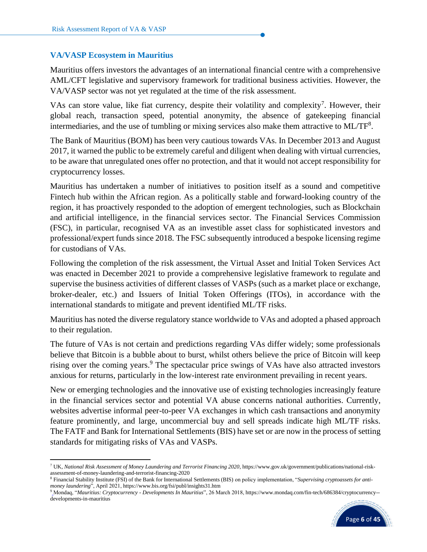#### **VA/VASP Ecosystem in Mauritius**

Mauritius offers investors the advantages of an international financial centre with a comprehensive AML/CFT legislative and supervisory framework for traditional business activities. However, the VA/VASP sector was not yet regulated at the time of the risk assessment.

VAs can store value, like fiat currency, despite their volatility and complexity<sup>7</sup>. However, their global reach, transaction speed, potential anonymity, the absence of gatekeeping financial intermediaries, and the use of tumbling or mixing services also make them attractive to ML/TF<sup>8</sup>.

The Bank of Mauritius (BOM) has been very cautious towards VAs. In December 2013 and August 2017, it warned the public to be extremely careful and diligent when dealing with virtual currencies, to be aware that unregulated ones offer no protection, and that it would not accept responsibility for cryptocurrency losses.

Mauritius has undertaken a number of initiatives to position itself as a sound and competitive Fintech hub within the African region. As a politically stable and forward-looking country of the region, it has proactively responded to the adoption of emergent technologies, such as Blockchain and artificial intelligence, in the financial services sector. The Financial Services Commission (FSC), in particular, recognised VA as an investible asset class for sophisticated investors and professional/expert funds since 2018. The FSC subsequently introduced a bespoke licensing regime for custodians of VAs.

Following the completion of the risk assessment, the Virtual Asset and Initial Token Services Act was enacted in December 2021 to provide a comprehensive legislative framework to regulate and supervise the business activities of different classes of VASPs (such as a market place or exchange, broker-dealer, etc.) and Issuers of Initial Token Offerings (ITOs), in accordance with the international standards to mitigate and prevent identified ML/TF risks.

Mauritius has noted the diverse regulatory stance worldwide to VAs and adopted a phased approach to their regulation.

The future of VAs is not certain and predictions regarding VAs differ widely; some professionals believe that Bitcoin is a bubble about to burst, whilst others believe the price of Bitcoin will keep rising over the coming years.<sup>9</sup> The spectacular price swings of VAs have also attracted investors anxious for returns, particularly in the low-interest rate environment prevailing in recent years.

New or emerging technologies and the innovative use of existing technologies increasingly feature in the financial services sector and potential VA abuse concerns national authorities. Currently, websites advertise informal peer-to-peer VA exchanges in which cash transactions and anonymity feature prominently, and large, uncommercial buy and sell spreads indicate high ML/TF risks. The FATF and Bank for International Settlements (BIS) have set or are now in the process of setting standards for mitigating risks of VAs and VASPs.

<sup>9</sup> Mondaq, "*Mauritius: Cryptocurrency - Developments In Mauritius*", 26 March 2018, [https://www.mondaq.com/fin-tech/686384/cryptocurrency-](https://www.mondaq.com/fin-tech/686384/cryptocurrency--developments-in-mauritius) [developments-in-mauritius](https://www.mondaq.com/fin-tech/686384/cryptocurrency--developments-in-mauritius)



<sup>7</sup> UK, *National Risk Assessment of Money Laundering and Terrorist Financing 2020*, https://www.gov.uk/government/publications/national-riskassessment-of-money-laundering-and-terrorist-financing-2020

<sup>8</sup> Financial Stability Institute (FSI) of the Bank for International Settlements (BIS) on policy implementation, "*Supervising cryptoassets for antimoney laundering*", April 2021, <https://www.bis.org/fsi/publ/insights31.htm>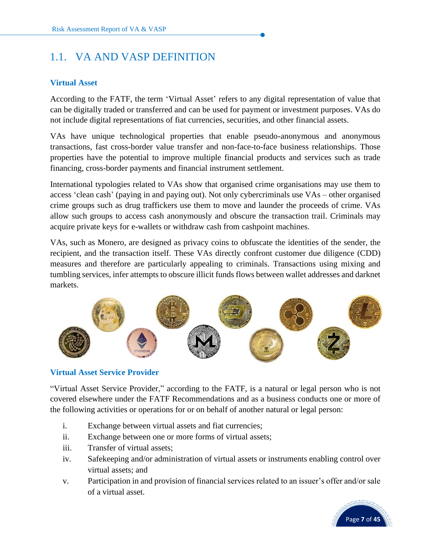# <span id="page-8-0"></span>1.1. VA AND VASP DEFINITION

## **Virtual Asset**

According to the FATF, the term 'Virtual Asset' refers to any digital representation of value that can be digitally traded or transferred and can be used for payment or investment purposes. VAs do not include digital representations of fiat currencies, securities, and other financial assets.

VAs have unique technological properties that enable pseudo-anonymous and anonymous transactions, fast cross-border value transfer and non-face-to-face business relationships. Those properties have the potential to improve multiple financial products and services such as trade financing, cross-border payments and financial instrument settlement.

International typologies related to VAs show that organised crime organisations may use them to access 'clean cash' (paying in and paying out). Not only cybercriminals use VAs – other organised crime groups such as drug traffickers use them to move and launder the proceeds of crime. VAs allow such groups to access cash anonymously and obscure the transaction trail. Criminals may acquire private keys for e-wallets or withdraw cash from cashpoint machines.

VAs, such as Monero, are designed as privacy coins to obfuscate the identities of the sender, the recipient, and the transaction itself. These VAs directly confront customer due diligence (CDD) measures and therefore are particularly appealing to criminals. Transactions using mixing and tumbling services, infer attempts to obscure illicit funds flows between wallet addresses and darknet markets.



## **Virtual Asset Service Provider**

"Virtual Asset Service Provider," according to the FATF, is a natural or legal person who is not covered elsewhere under the FATF Recommendations and as a business conducts one or more of the following activities or operations for or on behalf of another natural or legal person:

- i. Exchange between virtual assets and fiat currencies;
- ii. Exchange between one or more forms of virtual assets;
- iii. Transfer of virtual assets;
- iv. Safekeeping and/or administration of virtual assets or instruments enabling control over virtual assets; and
- v. Participation in and provision of financial services related to an issuer's offer and/or sale of a virtual asset.

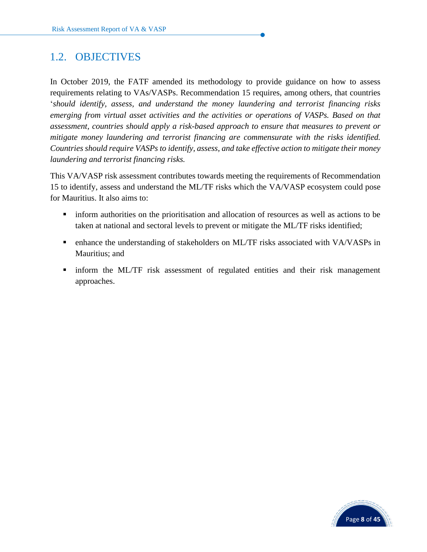# <span id="page-9-0"></span>1.2. OBJECTIVES

In October 2019, the FATF amended its methodology to provide guidance on how to assess requirements relating to VAs/VASPs. Recommendation 15 requires, among others, that countries '*should identify, assess, and understand the money laundering and terrorist financing risks emerging from virtual asset activities and the activities or operations of VASPs. Based on that assessment, countries should apply a risk-based approach to ensure that measures to prevent or mitigate money laundering and terrorist financing are commensurate with the risks identified. Countries should require VASPs to identify, assess, and take effective action to mitigate their money laundering and terrorist financing risks.*

This VA/VASP risk assessment contributes towards meeting the requirements of Recommendation 15 to identify, assess and understand the ML/TF risks which the VA/VASP ecosystem could pose for Mauritius. It also aims to:

- **•** inform authorities on the prioritisation and allocation of resources as well as actions to be taken at national and sectoral levels to prevent or mitigate the ML/TF risks identified;
- **•** enhance the understanding of stakeholders on ML/TF risks associated with VA/VASPs in Mauritius; and
- **I** inform the ML/TF risk assessment of regulated entities and their risk management approaches.

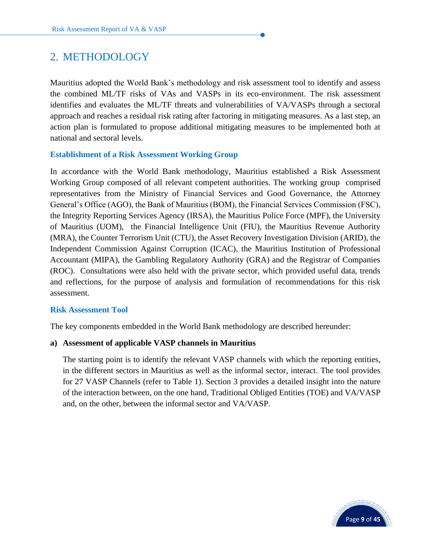# <span id="page-10-0"></span>2. METHODOLOGY

Mauritius adopted the World Bank's methodology and risk assessment tool to identify and assess the combined ML/TF risks of VAs and VASPs in its eco-environment. The risk assessment identifies and evaluates the ML/TF threats and vulnerabilities of VA/VASPs through a sectoral approach and reaches a residual risk rating after factoring in mitigating measures. As a last step, an action plan is formulated to propose additional mitigating measures to be implemented both at national and sectoral levels.

#### **Establishment of a Risk Assessment Working Group**

In accordance with the World Bank methodology, Mauritius established a Risk Assessment Working Group composed of all relevant competent authorities. The working group comprised representatives from the Ministry of Financial Services and Good Governance, the Attorney General's Office (AGO), the Bank of Mauritius (BOM), the Financial Services Commission (FSC), the Integrity Reporting Services Agency (IRSA), the Mauritius Police Force (MPF), the University of Mauritius (UOM), the Financial Intelligence Unit (FIU), the Mauritius Revenue Authority (MRA), the Counter Terrorism Unit (CTU), the Asset Recovery Investigation Division (ARID), the Independent Commission Against Corruption (ICAC), the Mauritius Institution of Professional Accountant (MIPA), the Gambling Regulatory Authority (GRA) and the Registrar of Companies (ROC). Consultations were also held with the private sector, which provided useful data, trends and reflections, for the purpose of analysis and formulation of recommendations for this risk assessment.

#### **Risk Assessment Tool**

The key components embedded in the World Bank methodology are described hereunder:

#### **a) Assessment of applicable VASP channels in Mauritius**

The starting point is to identify the relevant VASP channels with which the reporting entities, in the different sectors in Mauritius as well as the informal sector, interact. The tool provides for 27 VASP Channels (refer to Table 1). Section 3 provides a detailed insight into the nature of the interaction between, on the one hand, Traditional Obliged Entities (TOE) and VA/VASP and, on the other, between the informal sector and VA/VASP.

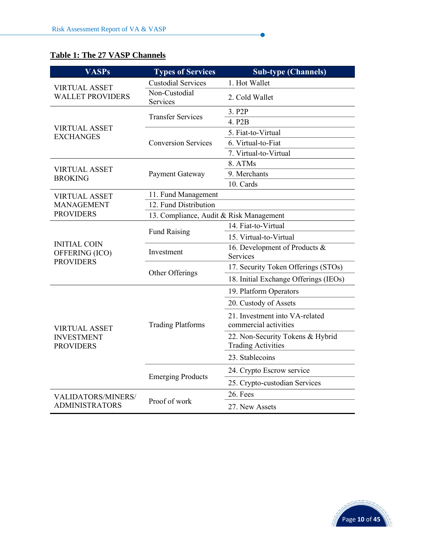# **Table 1: The 27 VASP Channels**

| <b>VASPs</b>                          | <b>Types of Services</b>                | <b>Sub-type (Channels)</b>                                    |  |  |  |
|---------------------------------------|-----------------------------------------|---------------------------------------------------------------|--|--|--|
| <b>VIRTUAL ASSET</b>                  | <b>Custodial Services</b>               | 1. Hot Wallet                                                 |  |  |  |
| <b>WALLET PROVIDERS</b>               | Non-Custodial<br>Services               | 2. Cold Wallet                                                |  |  |  |
|                                       | <b>Transfer Services</b>                | 3. P <sub>2</sub> P                                           |  |  |  |
| <b>VIRTUAL ASSET</b>                  |                                         | 4. P <sub>2</sub> B                                           |  |  |  |
| <b>EXCHANGES</b>                      |                                         | 5. Fiat-to-Virtual                                            |  |  |  |
|                                       | <b>Conversion Services</b>              | 6. Virtual-to-Fiat                                            |  |  |  |
|                                       |                                         | 7. Virtual-to-Virtual                                         |  |  |  |
| <b>VIRTUAL ASSET</b>                  |                                         | 8. ATMs                                                       |  |  |  |
| <b>BROKING</b>                        | Payment Gateway                         | 9. Merchants                                                  |  |  |  |
|                                       |                                         | 10. Cards                                                     |  |  |  |
| <b>VIRTUAL ASSET</b>                  | 11. Fund Management                     |                                                               |  |  |  |
| <b>MANAGEMENT</b>                     | 12. Fund Distribution                   |                                                               |  |  |  |
| <b>PROVIDERS</b>                      | 13. Compliance, Audit & Risk Management |                                                               |  |  |  |
|                                       | <b>Fund Raising</b>                     | 14. Fiat-to-Virtual                                           |  |  |  |
| <b>INITIAL COIN</b>                   |                                         | 15. Virtual-to-Virtual                                        |  |  |  |
| OFFERING (ICO)<br><b>PROVIDERS</b>    | Investment                              | 16. Development of Products &<br>Services                     |  |  |  |
|                                       |                                         | 17. Security Token Offerings (STOs)                           |  |  |  |
|                                       | Other Offerings                         | 18. Initial Exchange Offerings (IEOs)                         |  |  |  |
|                                       |                                         | 19. Platform Operators                                        |  |  |  |
|                                       |                                         | 20. Custody of Assets                                         |  |  |  |
| <b>VIRTUAL ASSET</b>                  | <b>Trading Platforms</b>                | 21. Investment into VA-related<br>commercial activities       |  |  |  |
| <b>INVESTMENT</b><br><b>PROVIDERS</b> |                                         | 22. Non-Security Tokens & Hybrid<br><b>Trading Activities</b> |  |  |  |
|                                       |                                         | 23. Stablecoins                                               |  |  |  |
|                                       |                                         | 24. Crypto Escrow service                                     |  |  |  |
|                                       | <b>Emerging Products</b>                | 25. Crypto-custodian Services                                 |  |  |  |
| <b>VALIDATORS/MINERS/</b>             |                                         | 26. Fees                                                      |  |  |  |
| <b>ADMINISTRATORS</b>                 | Proof of work                           | 27. New Assets                                                |  |  |  |

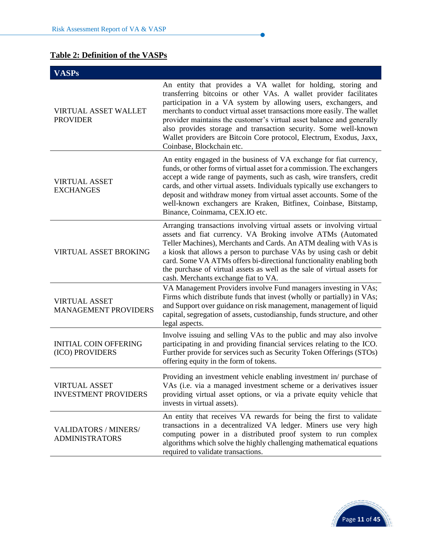# **Table 2: Definition of the VASPs**

| <b>VASPs</b>                                         |                                                                                                                                                                                                                                                                                                                                                                                                                                                                                                                                 |
|------------------------------------------------------|---------------------------------------------------------------------------------------------------------------------------------------------------------------------------------------------------------------------------------------------------------------------------------------------------------------------------------------------------------------------------------------------------------------------------------------------------------------------------------------------------------------------------------|
| <b>VIRTUAL ASSET WALLET</b><br><b>PROVIDER</b>       | An entity that provides a VA wallet for holding, storing and<br>transferring bitcoins or other VAs. A wallet provider facilitates<br>participation in a VA system by allowing users, exchangers, and<br>merchants to conduct virtual asset transactions more easily. The wallet<br>provider maintains the customer's virtual asset balance and generally<br>also provides storage and transaction security. Some well-known<br>Wallet providers are Bitcoin Core protocol, Electrum, Exodus, Jaxx,<br>Coinbase, Blockchain etc. |
| <b>VIRTUAL ASSET</b><br><b>EXCHANGES</b>             | An entity engaged in the business of VA exchange for fiat currency,<br>funds, or other forms of virtual asset for a commission. The exchangers<br>accept a wide range of payments, such as cash, wire transfers, credit<br>cards, and other virtual assets. Individuals typically use exchangers to<br>deposit and withdraw money from virtual asset accounts. Some of the<br>well-known exchangers are Kraken, Bitfinex, Coinbase, Bitstamp,<br>Binance, Coinmama, CEX.IO etc.                                                 |
| <b>VIRTUAL ASSET BROKING</b>                         | Arranging transactions involving virtual assets or involving virtual<br>assets and fiat currency. VA Broking involve ATMs (Automated<br>Teller Machines), Merchants and Cards. An ATM dealing with VAs is<br>a kiosk that allows a person to purchase VAs by using cash or debit<br>card. Some VA ATMs offers bi-directional functionality enabling both<br>the purchase of virtual assets as well as the sale of virtual assets for<br>cash. Merchants exchange fiat to VA.                                                    |
| <b>VIRTUAL ASSET</b><br><b>MANAGEMENT PROVIDERS</b>  | VA Management Providers involve Fund managers investing in VAs;<br>Firms which distribute funds that invest (wholly or partially) in VAs;<br>and Support over guidance on risk management, management of liquid<br>capital, segregation of assets, custodianship, funds structure, and other<br>legal aspects.                                                                                                                                                                                                                  |
| <b>INITIAL COIN OFFERING</b><br>(ICO) PROVIDERS      | Involve issuing and selling VAs to the public and may also involve<br>participating in and providing financial services relating to the ICO.<br>Further provide for services such as Security Token Offerings (STOs)<br>offering equity in the form of tokens.                                                                                                                                                                                                                                                                  |
| <b>VIRTUAL ASSET</b><br><b>INVESTMENT PROVIDERS</b>  | Providing an investment vehicle enabling investment in/ purchase of<br>VAs (i.e. via a managed investment scheme or a derivatives issuer<br>providing virtual asset options, or via a private equity vehicle that<br>invests in virtual assets).                                                                                                                                                                                                                                                                                |
| <b>VALIDATORS / MINERS/</b><br><b>ADMINISTRATORS</b> | An entity that receives VA rewards for being the first to validate<br>transactions in a decentralized VA ledger. Miners use very high<br>computing power in a distributed proof system to run complex<br>algorithms which solve the highly challenging mathematical equations<br>required to validate transactions.                                                                                                                                                                                                             |

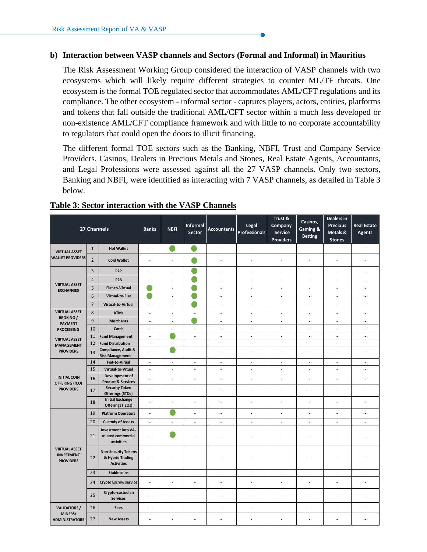#### **b) Interaction between VASP channels and Sectors (Formal and Informal) in Mauritius**

The Risk Assessment Working Group considered the interaction of VASP channels with two ecosystems which will likely require different strategies to counter ML/TF threats. One ecosystem is the formal TOE regulated sector that accommodates AML/CFT regulations and its compliance. The other ecosystem - informal sector - captures players, actors, entities, platforms and tokens that fall outside the traditional AML/CFT sector within a much less developed or non-existence AML/CFT compliance framework and with little to no corporate accountability to regulators that could open the doors to illicit financing.

The different formal TOE sectors such as the Banking, NBFI, Trust and Company Service Providers, Casinos, Dealers in Precious Metals and Stones, Real Estate Agents, Accountants, and Legal Professions were assessed against all the 27 VASP channels. Only two sectors, Banking and NBFI, were identified as interacting with 7 VASP channels, as detailed in Table 3 below.

|                                                               | 27 Channels    |                                                                     | <b>Banks</b>             | <b>NBFI</b>              | <b>Informal</b><br><b>Sector</b> | <b>Accountants</b>       | Legal<br><b>Professionals</b> | Trust &<br>Company<br><b>Service</b><br><b>Providers</b> | Casinos,<br>Gaming &<br><b>Betting</b> | Dealers in<br><b>Precious</b><br>Metals &<br><b>Stones</b> | <b>Real Estate</b><br><b>Agents</b> |
|---------------------------------------------------------------|----------------|---------------------------------------------------------------------|--------------------------|--------------------------|----------------------------------|--------------------------|-------------------------------|----------------------------------------------------------|----------------------------------------|------------------------------------------------------------|-------------------------------------|
| <b>VIRTUAL ASSET</b>                                          | $\mathbf{1}$   | <b>Hot Wallet</b>                                                   | $\bar{a}$                | c                        |                                  | ÷.                       | ÷.                            | L.                                                       | ×.                                     | L.                                                         | ÷.                                  |
| <b>WALLET PROVIDERS</b>                                       | $\overline{2}$ | <b>Cold Wallet</b>                                                  | ÷,                       | ä,                       |                                  | ÷,                       | ä,                            | L,                                                       | ÷,                                     | ÷,                                                         | ä,                                  |
|                                                               | $\overline{3}$ | P <sub>2P</sub>                                                     | $\overline{\phantom{a}}$ | ÷,                       |                                  | $\overline{\phantom{a}}$ | ÷,                            | $\overline{\phantom{a}}$                                 | $\blacksquare$                         | ÷,                                                         | ÷,                                  |
| <b>VIRTUAL ASSET</b>                                          | $\overline{4}$ | P <sub>2</sub> B                                                    | $\bar{a}$                | L,                       | e e                              | $\bar{a}$                | ä,                            | L,                                                       | ä,                                     | ÷,                                                         | ä,                                  |
| <b>EXCHANGES</b>                                              | 5              | <b>Fiat-to-Virtual</b>                                              |                          | ÷                        |                                  | $\overline{\phantom{a}}$ | ÷,                            | $\overline{\phantom{a}}$                                 | $\overline{\phantom{a}}$               | ÷,                                                         | ÷,                                  |
|                                                               | 6              | Virtual-to-Fiat                                                     |                          | ÷                        |                                  | ÷.                       | ä,                            | $\overline{\phantom{a}}$                                 | ä,                                     | ä,                                                         | $\sim$                              |
|                                                               | $\overline{7}$ | Virtual-to-Virtual                                                  | $\blacksquare$           | ÷,                       |                                  | $\overline{\phantom{a}}$ | ÷,                            | $\overline{\phantom{a}}$                                 | ÷,                                     | ä,                                                         | ÷,                                  |
| <b>VIRTUAL ASSET</b><br><b>BROKING /</b>                      | 8              | <b>ATMs</b>                                                         | $\blacksquare$           | ÷                        | ÷,                               | $\overline{\phantom{a}}$ | ÷,                            | $\overline{\phantom{a}}$                                 | $\blacksquare$                         | ÷,                                                         | $\overline{\phantom{a}}$            |
| <b>PAYMENT</b>                                                | 9              | <b>Merchants</b>                                                    | ÷,                       | L                        |                                  | ÷,                       | ÷,                            | ÷,                                                       | ä,                                     | ÷,                                                         | L.                                  |
| <b>PROCESSING</b>                                             | 10             | Cards                                                               | $\overline{\phantom{a}}$ | ÷,                       | $\overline{\phantom{a}}$         | $\overline{\phantom{a}}$ | $\overline{\phantom{a}}$      | $\overline{\phantom{a}}$                                 | $\overline{\phantom{a}}$               | $\overline{\phantom{a}}$                                   | $\sim$                              |
| <b>VIRTUAL ASSET</b>                                          | 11             | <b>Fund Management</b>                                              | $\overline{\phantom{a}}$ |                          | $\overline{\phantom{a}}$         | $\overline{\phantom{a}}$ | ÷,                            | $\overline{\phantom{a}}$                                 | $\overline{\phantom{a}}$               | ÷,                                                         | $\overline{\phantom{a}}$            |
| <b>MANAGEMENT</b>                                             | 12             | <b>Fund Distribution</b>                                            | ÷.                       | ä,                       | ÷.                               | ÷.                       | ÷.                            | ÷.                                                       | ÷                                      | ä,                                                         | ÷.                                  |
| <b>PROVIDERS</b>                                              | 13             | Compliance, Audit &<br><b>Risk Management</b>                       | $\sim$                   |                          | $\overline{\phantom{a}}$         | ä,                       | ä,                            | L,                                                       | ä,                                     | ä,                                                         | ÷,                                  |
|                                                               | 14             | <b>Fiat-to-Virual</b>                                               | $\overline{\phantom{a}}$ | $\overline{\phantom{a}}$ | $\overline{\phantom{a}}$         | $\overline{\phantom{a}}$ | $\sim$                        | $\overline{\phantom{a}}$                                 | $\overline{\phantom{a}}$               | ۰                                                          | $\overline{\phantom{a}}$            |
|                                                               | 15             | Virtual-to-Vitual                                                   | $\bar{a}$                | ä,                       | $\overline{\phantom{a}}$         | $\bar{a}$                | $\sim$                        | $\bar{a}$                                                | $\bar{a}$                              | ä,                                                         | ÷,                                  |
| <b>INITIAL COIN</b><br>OFFERING (ICO)                         | 16             | Development of<br><b>Product &amp; Services</b>                     | ÷.                       | ä,                       | ä,                               | ÷,                       | ä,                            | L                                                        | ä,                                     | ä,                                                         | L.                                  |
| <b>PROVIDERS</b>                                              | 17             | <b>Security Token</b><br>Offerings (STOs)                           | ÷.                       | ä,                       | $\overline{\phantom{a}}$         | ÷.                       | ÷.                            | L.                                                       | ×.                                     | ÷,                                                         | ÷,                                  |
|                                                               | 18             | <b>Initial Exchange</b><br><b>Offerings (IEOs)</b>                  | ٠                        | ä,                       | $\sim$                           | ä,                       | ٠                             | ä,                                                       | ٠                                      | ä,                                                         | ä,                                  |
|                                                               | 19             | <b>Platform Operators</b>                                           | $\blacksquare$           |                          | $\overline{\phantom{a}}$         | ä,                       | ä,                            | L,                                                       | ä,                                     | ÷,                                                         | ä,                                  |
|                                                               | 20             | <b>Custody of Assets</b>                                            | ÷,                       | ä,                       | $\omega$                         | $\sim$                   | ÷,                            | $\bar{\phantom{a}}$                                      | $\sim$                                 | ä,                                                         | ×.                                  |
|                                                               | 21             | Investment into VA-<br>related commercial<br>activities             | $\sim$                   |                          | ÷                                | ä,                       | ÷,                            | ä,                                                       |                                        |                                                            |                                     |
| <b>VIRTUAL ASSET</b><br><b>INVESTMENT</b><br><b>PROVIDERS</b> | 22             | <b>Non-Security Tokens</b><br>& Hybrid Trading<br><b>Activities</b> | $\overline{\phantom{a}}$ | ä                        |                                  |                          |                               |                                                          |                                        |                                                            |                                     |
|                                                               | 23             | <b>Stablecoins</b>                                                  | $\sim$                   | $\sim$                   | $\sim$                           | ÷.                       | $\sim$                        | ÷.                                                       | $\sim$                                 | ä,                                                         | $\sim$                              |
|                                                               | 24             | <b>Crypto Escrow service</b>                                        | $\sim$                   | ä,                       | $\overline{\phantom{a}}$         | $\sim$                   | ÷.                            | L,                                                       | ×.                                     | ä,                                                         | ä,                                  |
|                                                               | 25             | Crypto-custodian<br><b>Services</b>                                 | ÷.                       | ä,                       | ÷.                               | ä,                       | ä,                            | L,                                                       |                                        | L.                                                         | ä,                                  |
| <b>VALIDATORS /</b><br>MINERS/                                | 26             | Fees                                                                | $\sim$                   | ä,                       | $\sim$                           | $\sim$                   | ÷.                            | ä,                                                       | ÷.                                     | ä,                                                         | ä,                                  |
| <b>ADMINISTRATORS</b>                                         | 27             | <b>New Assets</b>                                                   | $\sim$                   | ä,                       | $\overline{\phantom{a}}$         | ÷.                       | ÷.                            | ä,                                                       | ×.                                     | ä,                                                         | ÷,                                  |
|                                                               |                |                                                                     |                          |                          |                                  |                          |                               |                                                          |                                        |                                                            |                                     |

## **Table 3: Sector interaction with the VASP Channels**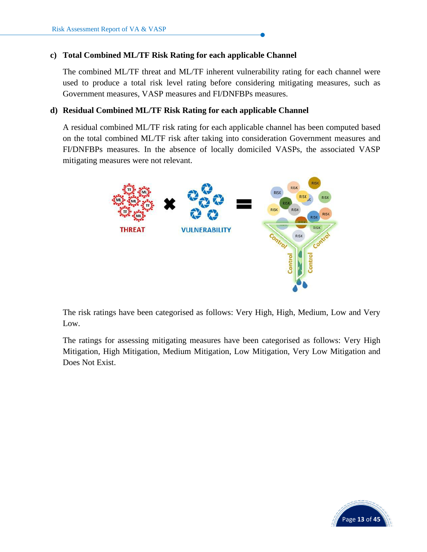## **c) Total Combined ML/TF Risk Rating for each applicable Channel**

The combined ML/TF threat and ML/TF inherent vulnerability rating for each channel were used to produce a total risk level rating before considering mitigating measures, such as Government measures, VASP measures and FI/DNFBPs measures.

#### **d) Residual Combined ML/TF Risk Rating for each applicable Channel**

A residual combined ML/TF risk rating for each applicable channel has been computed based on the total combined ML/TF risk after taking into consideration Government measures and FI/DNFBPs measures. In the absence of locally domiciled VASPs, the associated VASP mitigating measures were not relevant.



The risk ratings have been categorised as follows: Very High, High, Medium, Low and Very Low.

The ratings for assessing mitigating measures have been categorised as follows: Very High Mitigation, High Mitigation, Medium Mitigation, Low Mitigation, Very Low Mitigation and Does Not Exist.

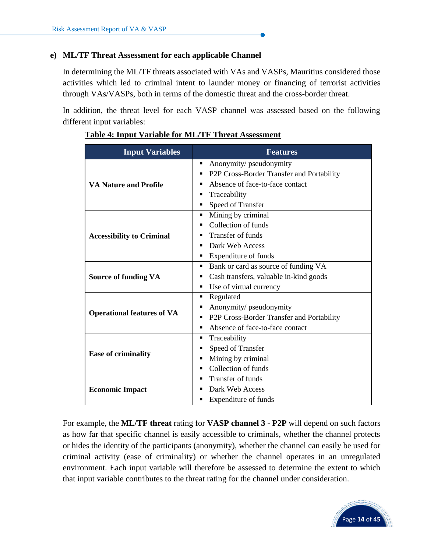## **e) ML/TF Threat Assessment for each applicable Channel**

In determining the ML/TF threats associated with VAs and VASPs, Mauritius considered those activities which led to criminal intent to launder money or financing of terrorist activities through VAs/VASPs, both in terms of the domestic threat and the cross-border threat.

In addition, the threat level for each VASP channel was assessed based on the following different input variables:

| <b>Input Variables</b>            | <b>Features</b>                                |
|-----------------------------------|------------------------------------------------|
|                                   | Anonymity/ pseudonymity<br>٠                   |
|                                   | P2P Cross-Border Transfer and Portability      |
| VA Nature and Profile             | Absence of face-to-face contact<br>■           |
|                                   | Traceability<br>٠                              |
|                                   | Speed of Transfer<br>٠                         |
|                                   | Mining by criminal<br>٠                        |
|                                   | Collection of funds                            |
| <b>Accessibility to Criminal</b>  | <b>Transfer of funds</b>                       |
|                                   | Dark Web Access<br>٠                           |
|                                   | Expenditure of funds<br>٠                      |
|                                   | Bank or card as source of funding VA<br>٠      |
| <b>Source of funding VA</b>       | Cash transfers, valuable in-kind goods<br>٠    |
|                                   | Use of virtual currency<br>٠                   |
|                                   | Regulated<br>٠                                 |
|                                   | Anonymity/ pseudonymity<br>٠                   |
| <b>Operational features of VA</b> | P2P Cross-Border Transfer and Portability<br>٠ |
|                                   | Absence of face-to-face contact<br>٠           |
|                                   | Traceability<br>٠                              |
|                                   | Speed of Transfer                              |
| <b>Ease of criminality</b>        | Mining by criminal<br>٠                        |
|                                   | Collection of funds<br>٠                       |
|                                   | Transfer of funds<br>٠                         |
| <b>Economic Impact</b>            | Dark Web Access<br>■                           |
|                                   | Expenditure of funds                           |

#### **Table 4: Input Variable for ML/TF Threat Assessment**

For example, the **ML/TF threat** rating for **VASP channel 3 - P2P** will depend on such factors as how far that specific channel is easily accessible to criminals, whether the channel protects or hides the identity of the participants (anonymity), whether the channel can easily be used for criminal activity (ease of criminality) or whether the channel operates in an unregulated environment. Each input variable will therefore be assessed to determine the extent to which that input variable contributes to the threat rating for the channel under consideration.

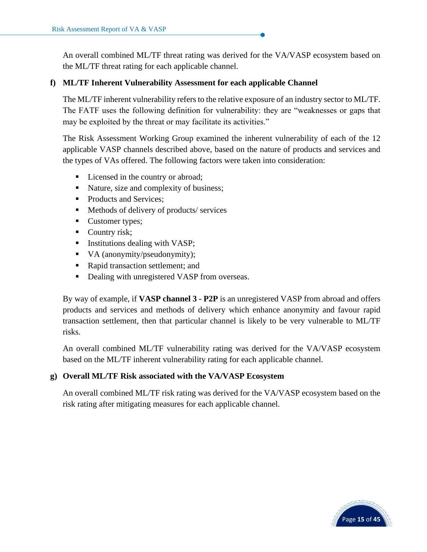An overall combined ML/TF threat rating was derived for the VA/VASP ecosystem based on the ML/TF threat rating for each applicable channel.

## **f) ML/TF Inherent Vulnerability Assessment for each applicable Channel**

The ML/TF inherent vulnerability refers to the relative exposure of an industry sector to ML/TF. The FATF uses the following definition for vulnerability: they are "weaknesses or gaps that may be exploited by the threat or may facilitate its activities."

The Risk Assessment Working Group examined the inherent vulnerability of each of the 12 applicable VASP channels described above, based on the nature of products and services and the types of VAs offered. The following factors were taken into consideration:

- Licensed in the country or abroad;
- Nature, size and complexity of business;
- Products and Services;
- Methods of delivery of products/ services
- Customer types;
- Country risk;
- **•** Institutions dealing with VASP;
- VA (anonymity/pseudonymity);
- Rapid transaction settlement; and
- Dealing with unregistered VASP from overseas.

By way of example, if **VASP channel 3 - P2P** is an unregistered VASP from abroad and offers products and services and methods of delivery which enhance anonymity and favour rapid transaction settlement, then that particular channel is likely to be very vulnerable to ML/TF risks.

An overall combined ML/TF vulnerability rating was derived for the VA/VASP ecosystem based on the ML/TF inherent vulnerability rating for each applicable channel.

# **g) Overall ML/TF Risk associated with the VA/VASP Ecosystem**

An overall combined ML/TF risk rating was derived for the VA/VASP ecosystem based on the risk rating after mitigating measures for each applicable channel.

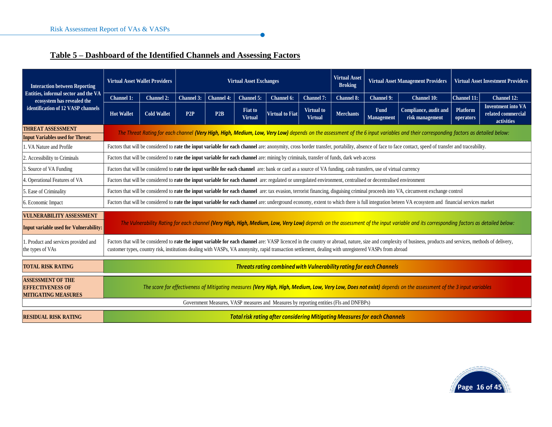# **Table 5 – Dashboard of the Identified Channels and Assessing Factors**

| <b>Interaction between Reporting</b>                                                                     | <b>Virtual Asset Wallet Providers</b> |                                                                                                                                                                                                                                                                                                                                                                         | <b>Virtual Asset</b><br><b>Virtual Asset Management Providers</b><br><b>Virtual Asset Exchanges</b><br><b>Broking</b> |            |                                  |                                                                                        |                                     | <b>Virtual Asset Investment Providers</b> |                                  |                                                                                                                                                                                                      |                              |                                                               |
|----------------------------------------------------------------------------------------------------------|---------------------------------------|-------------------------------------------------------------------------------------------------------------------------------------------------------------------------------------------------------------------------------------------------------------------------------------------------------------------------------------------------------------------------|-----------------------------------------------------------------------------------------------------------------------|------------|----------------------------------|----------------------------------------------------------------------------------------|-------------------------------------|-------------------------------------------|----------------------------------|------------------------------------------------------------------------------------------------------------------------------------------------------------------------------------------------------|------------------------------|---------------------------------------------------------------|
| Entities, informal sector and the VA<br>ecosystem has revealed the<br>identification of 12 VASP channels | Channel 1:                            | <b>Channel 2:</b>                                                                                                                                                                                                                                                                                                                                                       | Channel 3:                                                                                                            | Channel 4: | <b>Channel 5:</b>                | Channel 6:                                                                             | Channel 7:                          | <b>Channel 8:</b>                         | <b>Channel 9:</b>                | <b>Channel 10:</b>                                                                                                                                                                                   | <b>Channel 11:</b>           | Channel 12:                                                   |
|                                                                                                          | <b>Hot Wallet</b>                     | <b>Cold Wallet</b>                                                                                                                                                                                                                                                                                                                                                      | P2P                                                                                                                   | P2B        | <b>Fiat to</b><br><b>Virtual</b> | <b>Virtual to Fiat</b>                                                                 | <b>Virtual to</b><br><b>Virtual</b> | <b>Merchants</b>                          | <b>Fund</b><br><b>Management</b> | Compliance, audit and<br>risk management                                                                                                                                                             | <b>Platform</b><br>operators | <b>Inventment into VA</b><br>related commercial<br>activities |
| <b>THREAT ASSESSMENT</b><br><b>Input Variables used for Threat:</b>                                      |                                       | The Threat Rating for each channel (Very High, High, Medium, Low, Very Low) depends on the assessment of the 6 input variables and their corresponding factors as detailed below:                                                                                                                                                                                       |                                                                                                                       |            |                                  |                                                                                        |                                     |                                           |                                  |                                                                                                                                                                                                      |                              |                                                               |
| 1. VA Nature and Profile                                                                                 |                                       |                                                                                                                                                                                                                                                                                                                                                                         |                                                                                                                       |            |                                  |                                                                                        |                                     |                                           |                                  | Factors that will be considered to rate the input variable for each channel are: anonymity, cross border transfer, portability, absence of face to face contact, speed of transfer and traceability. |                              |                                                               |
| 2. Accessibility to Criminals                                                                            |                                       | Factors that will be considered to <b>rate the input variable for each channel</b> are: mining by criminals, transfer of funds, dark web access                                                                                                                                                                                                                         |                                                                                                                       |            |                                  |                                                                                        |                                     |                                           |                                  |                                                                                                                                                                                                      |                              |                                                               |
| 3. Source of VA Funding                                                                                  |                                       | Factors that will be considered to <b>rate the input varible for each channel</b> are: bank or card as a source of VA funding, cash transfers, use of virtual currency                                                                                                                                                                                                  |                                                                                                                       |            |                                  |                                                                                        |                                     |                                           |                                  |                                                                                                                                                                                                      |                              |                                                               |
| 4. Operational Features of VA                                                                            |                                       | Factors that will be considered to rate the input variable for each channel are: regulated or unregulated environment, centralised or decentralised environment                                                                                                                                                                                                         |                                                                                                                       |            |                                  |                                                                                        |                                     |                                           |                                  |                                                                                                                                                                                                      |                              |                                                               |
| 5. Ease of Criminality                                                                                   |                                       |                                                                                                                                                                                                                                                                                                                                                                         |                                                                                                                       |            |                                  |                                                                                        |                                     |                                           |                                  | Factors that will be considered to <b>rate the input variable for each channel</b> are: tax evasion, terrorist financing, disguising criminal proceeds into VA, circumvent exchange control          |                              |                                                               |
| 6. Economic Impact                                                                                       |                                       |                                                                                                                                                                                                                                                                                                                                                                         |                                                                                                                       |            |                                  |                                                                                        |                                     |                                           |                                  | Factors that will be considered to rate the input variable for each channel are: underground economy, extent to which there is full integration beteen VA ecosystem and financial services market    |                              |                                                               |
| <b>VULNERABILITY ASSESSMENT</b><br><b>Input variable used for Vulnerability:</b>                         |                                       | The Vulnerability Rating for each channel (Very High, High, Medium, Low, Very Low) depends on the assessment of the input variable and its corresponding factors as detailed below:                                                                                                                                                                                     |                                                                                                                       |            |                                  |                                                                                        |                                     |                                           |                                  |                                                                                                                                                                                                      |                              |                                                               |
| 1. Product and services provided and<br>the types of VAs                                                 |                                       | Factors that will be considered to rate the input variable for each channel are: VASP licenced in the country or abroad, nature, size and complexity of business, products and services, methods of delivery,<br>customer types, country risk, institutions dealing with VASPs, VA anonynity, rapid transaction settlement, dealing with unregistered VASPs from abroad |                                                                                                                       |            |                                  |                                                                                        |                                     |                                           |                                  |                                                                                                                                                                                                      |                              |                                                               |
| <b>TOTAL RISK RATING</b>                                                                                 |                                       | Threats rating combined with Vulnerability rating for each Channels                                                                                                                                                                                                                                                                                                     |                                                                                                                       |            |                                  |                                                                                        |                                     |                                           |                                  |                                                                                                                                                                                                      |                              |                                                               |
| <b>ASSESSMENT OF THE</b><br><b>EFFECTIVENESS OF</b><br><b>MITIGATING MEASURES</b>                        |                                       |                                                                                                                                                                                                                                                                                                                                                                         |                                                                                                                       |            |                                  |                                                                                        |                                     |                                           |                                  | The score for effectiveness of Mitigating measures (Very High, High, Medium, Low, Very Low, Does not exist) depends on the assessment of the 3 input variables                                       |                              |                                                               |
|                                                                                                          |                                       |                                                                                                                                                                                                                                                                                                                                                                         |                                                                                                                       |            |                                  | Government Measures, VASP measures and Measures by reporting entities (FIs and DNFBPs) |                                     |                                           |                                  |                                                                                                                                                                                                      |                              |                                                               |
| <b>RESIDUAL RISK RATING</b>                                                                              |                                       | <b>Total risk rating after considering Mitigating Measures for each Channels</b>                                                                                                                                                                                                                                                                                        |                                                                                                                       |            |                                  |                                                                                        |                                     |                                           |                                  |                                                                                                                                                                                                      |                              |                                                               |

 $\bullet$ 

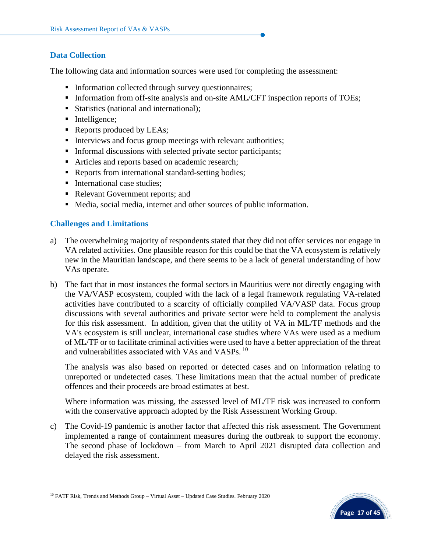#### **Data Collection**

The following data and information sources were used for completing the assessment:

- **Information collected through survey questionnaires;**
- **Information from off-site analysis and on-site AML/CFT inspection reports of TOEs;**
- Statistics (national and international);
- Intelligence;
- Reports produced by LEAs;
- Interviews and focus group meetings with relevant authorities;
- **Informal discussions with selected private sector participants;**
- Articles and reports based on academic research;
- Reports from international standard-setting bodies;
- **•** International case studies;
- Relevant Government reports; and
- Media, social media, internet and other sources of public information.

## **Challenges and Limitations**

- a) The overwhelming majority of respondents stated that they did not offer services nor engage in VA related activities. One plausible reason for this could be that the VA ecosystem is relatively new in the Mauritian landscape, and there seems to be a lack of general understanding of how VAs operate.
- b) The fact that in most instances the formal sectors in Mauritius were not directly engaging with the VA/VASP ecosystem, coupled with the lack of a legal framework regulating VA-related activities have contributed to a scarcity of officially compiled VA/VASP data. Focus group discussions with several authorities and private sector were held to complement the analysis for this risk assessment. In addition, given that the utility of VA in ML/TF methods and the VA's ecosystem is still unclear, international case studies where VAs were used as a medium of ML/TF or to facilitate criminal activities were used to have a better appreciation of the threat and vulnerabilities associated with VAs and VASPs.<sup>10</sup>

The analysis was also based on reported or detected cases and on information relating to unreported or undetected cases. These limitations mean that the actual number of predicate offences and their proceeds are broad estimates at best.

Where information was missing, the assessed level of ML/TF risk was increased to conform with the conservative approach adopted by the Risk Assessment Working Group.

c) The Covid-19 pandemic is another factor that affected this risk assessment. The Government implemented a range of containment measures during the outbreak to support the economy. The second phase of lockdown – from March to April 2021 disrupted data collection and delayed the risk assessment.



<sup>10</sup> FATF Risk, Trends and Methods Group – Virtual Asset – Updated Case Studies. February 2020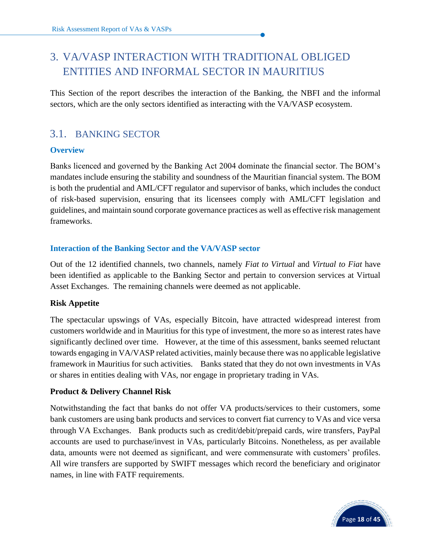# <span id="page-19-0"></span>3. VA/VASP INTERACTION WITH TRADITIONAL OBLIGED ENTITIES AND INFORMAL SECTOR IN MAURITIUS

This Section of the report describes the interaction of the Banking, the NBFI and the informal sectors, which are the only sectors identified as interacting with the VA/VASP ecosystem.

# <span id="page-19-1"></span>3.1. BANKING SECTOR

## **Overview**

Banks licenced and governed by the Banking Act 2004 dominate the financial sector. The BOM's mandates include ensuring the stability and soundness of the Mauritian financial system. The BOM is both the prudential and AML/CFT regulator and supervisor of banks, which includes the conduct of risk-based supervision, ensuring that its licensees comply with AML/CFT legislation and guidelines, and maintain sound corporate governance practices as well as effective risk management frameworks.

## **Interaction of the Banking Sector and the VA/VASP sector**

Out of the 12 identified channels, two channels, namely *Fiat to Virtual* and *Virtual to Fiat* have been identified as applicable to the Banking Sector and pertain to conversion services at Virtual Asset Exchanges. The remaining channels were deemed as not applicable.

#### **Risk Appetite**

The spectacular upswings of VAs, especially Bitcoin, have attracted widespread interest from customers worldwide and in Mauritius for this type of investment, the more so as interest rates have significantly declined over time. However, at the time of this assessment, banks seemed reluctant towards engaging in VA/VASP related activities, mainly because there was no applicable legislative framework in Mauritius for such activities. Banks stated that they do not own investments in VAs or shares in entities dealing with VAs, nor engage in proprietary trading in VAs.

#### **Product & Delivery Channel Risk**

Notwithstanding the fact that banks do not offer VA products/services to their customers, some bank customers are using bank products and services to convert fiat currency to VAs and vice versa through VA Exchanges. Bank products such as credit/debit/prepaid cards, wire transfers, PayPal accounts are used to purchase/invest in VAs, particularly Bitcoins. Nonetheless, as per available data, amounts were not deemed as significant, and were commensurate with customers' profiles. All wire transfers are supported by SWIFT messages which record the beneficiary and originator names, in line with FATF requirements.

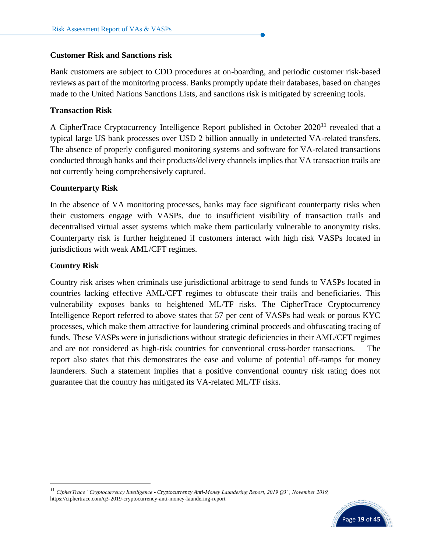#### **Customer Risk and Sanctions risk**

Bank customers are subject to CDD procedures at on-boarding, and periodic customer risk-based reviews as part of the monitoring process. Banks promptly update their databases, based on changes made to the United Nations Sanctions Lists, and sanctions risk is mitigated by screening tools.

#### **Transaction Risk**

A CipherTrace Cryptocurrency Intelligence Report published in October  $2020^{11}$  revealed that a typical large US bank processes over USD 2 billion annually in undetected VA-related transfers. The absence of properly configured monitoring systems and software for VA-related transactions conducted through banks and their products/delivery channels implies that VA transaction trails are not currently being comprehensively captured.

#### **Counterparty Risk**

In the absence of VA monitoring processes, banks may face significant counterparty risks when their customers engage with VASPs, due to insufficient visibility of transaction trails and decentralised virtual asset systems which make them particularly vulnerable to anonymity risks. Counterparty risk is further heightened if customers interact with high risk VASPs located in jurisdictions with weak AML/CFT regimes.

#### **Country Risk**

Country risk arises when criminals use jurisdictional arbitrage to send funds to VASPs located in countries lacking effective AML/CFT regimes to obfuscate their trails and beneficiaries. This vulnerability exposes banks to heightened ML/TF risks. The CipherTrace Cryptocurrency Intelligence Report referred to above states that 57 per cent of VASPs had weak or porous KYC processes, which make them attractive for laundering criminal proceeds and obfuscating tracing of funds. These VASPs were in jurisdictions without strategic deficiencies in their AML/CFT regimes and are not considered as high-risk countries for conventional cross-border transactions. The report also states that this demonstrates the ease and volume of potential off-ramps for money launderers. Such a statement implies that a positive conventional country risk rating does not guarantee that the country has mitigated its VA-related ML/TF risks.

<sup>11</sup> *CipherTrace "Cryptocurrency Intelligence - Cryptocurrency Anti-Money Laundering Report, 2019 Q3", November 2019,*  https://ciphertrace.com/q3-2019-cryptocurrency-anti-money-laundering-report

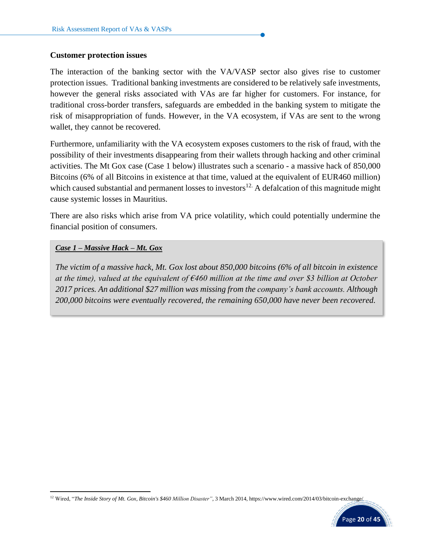#### **Customer protection issues**

The interaction of the banking sector with the VA/VASP sector also gives rise to customer protection issues. Traditional banking investments are considered to be relatively safe investments, however the general risks associated with VAs are far higher for customers. For instance, for traditional cross-border transfers, safeguards are embedded in the banking system to mitigate the risk of misappropriation of funds. However, in the VA ecosystem, if VAs are sent to the wrong wallet, they cannot be recovered.

Furthermore, unfamiliarity with the VA ecosystem exposes customers to the risk of fraud, with the possibility of their investments disappearing from their wallets through hacking and other criminal activities. The Mt Gox case (Case 1 below) illustrates such a scenario - a massive hack of 850,000 Bitcoins (6% of all Bitcoins in existence at that time, valued at the equivalent of EUR460 million) which caused substantial and permanent losses to investors<sup>12.</sup> A defalcation of this magnitude might cause systemic losses in Mauritius.

There are also risks which arise from VA price volatility, which could potentially undermine the financial position of consumers.

#### *Case 1 – Massive Hack – Mt. Gox*

*The victim of a massive hack, Mt. Gox lost about 850,000 bitcoins (6% of all bitcoin in existence at the time), valued at the equivalent of €460 million at the time and over \$3 billion at October 2017 prices. An additional \$27 million was missing from the company's bank accounts. Although 200,000 bitcoins were eventually recovered, the remaining 650,000 have never been recovered.*

<sup>&</sup>lt;sup>12</sup> Wired, "The Inside Story of Mt. Gox, Bitcoin's \$460 Million Disaster", 3 March 2014, https://www.wired.com/2014/03/bitcoin-exchange/

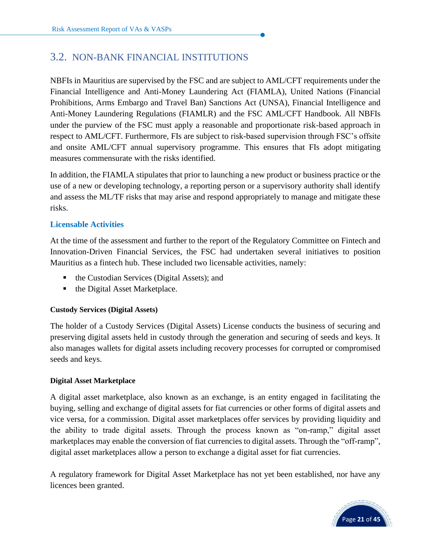# <span id="page-22-0"></span>3.2. NON-BANK FINANCIAL INSTITUTIONS

NBFIs in Mauritius are supervised by the FSC and are subject to AML/CFT requirements under the Financial Intelligence and Anti-Money Laundering Act (FIAMLA), United Nations (Financial Prohibitions, Arms Embargo and Travel Ban) Sanctions Act (UNSA), Financial Intelligence and Anti-Money Laundering Regulations (FIAMLR) and the FSC AML/CFT Handbook. All NBFIs under the purview of the FSC must apply a reasonable and proportionate risk-based approach in respect to AML/CFT. Furthermore, FIs are subject to risk-based supervision through FSC's offsite and onsite AML/CFT annual supervisory programme. This ensures that FIs adopt mitigating measures commensurate with the risks identified.

In addition, the FIAMLA stipulates that prior to launching a new product or business practice or the use of a new or developing technology, a reporting person or a supervisory authority shall identify and assess the ML/TF risks that may arise and respond appropriately to manage and mitigate these risks.

## **Licensable Activities**

At the time of the assessment and further to the report of the Regulatory Committee on Fintech and Innovation-Driven Financial Services, the FSC had undertaken several initiatives to position Mauritius as a fintech hub. These included two licensable activities, namely:

- the Custodian Services (Digital Assets); and
- the Digital Asset Marketplace.

#### **Custody Services (Digital Assets)**

The holder of a Custody Services (Digital Assets) License conducts the business of securing and preserving digital assets held in custody through the generation and securing of seeds and keys. It also manages wallets for digital assets including recovery processes for corrupted or compromised seeds and keys.

#### **Digital Asset Marketplace**

A digital asset marketplace, also known as an exchange, is an entity engaged in facilitating the buying, selling and exchange of digital assets for fiat currencies or other forms of digital assets and vice versa, for a commission. Digital asset marketplaces offer services by providing liquidity and the ability to trade digital assets. Through the process known as "on-ramp," digital asset marketplaces may enable the conversion of fiat currencies to digital assets. Through the "off-ramp", digital asset marketplaces allow a person to exchange a digital asset for fiat currencies.

A regulatory framework for Digital Asset Marketplace has not yet been established, nor have any licences been granted.

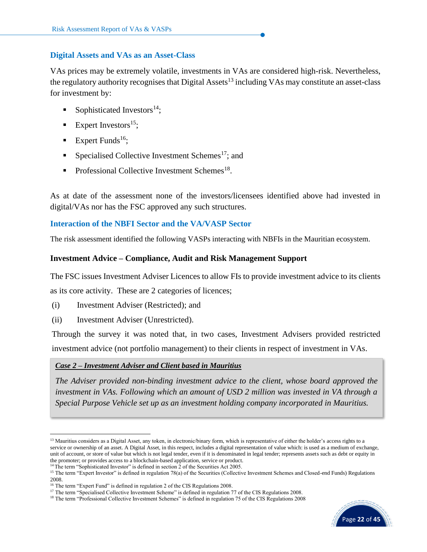#### **Digital Assets and VAs as an Asset-Class**

VAs prices may be extremely volatile, investments in VAs are considered high-risk. Nevertheless, the regulatory authority recognises that Digital Assets<sup>13</sup> including VAs may constitute an asset-class for investment by:

- Sophisticated Investors<sup>14</sup>;
- Expert Investors<sup>15</sup>;
- **Expert Funds**<sup>16</sup>;
- **•** Specialised Collective Investment Schemes<sup>17</sup>; and
- $\blacksquare$  Professional Collective Investment Schemes<sup>18</sup>.

As at date of the assessment none of the investors/licensees identified above had invested in digital/VAs nor has the FSC approved any such structures.

#### **Interaction of the NBFI Sector and the VA/VASP Sector**

The risk assessment identified the following VASPs interacting with NBFIs in the Mauritian ecosystem.

#### **Investment Advice – Compliance, Audit and Risk Management Support**

The FSC issues Investment Adviser Licences to allow FIs to provide investment advice to its clients

as its core activity. These are 2 categories of licences;

- (i) Investment Adviser (Restricted); and
- (ii) Investment Adviser (Unrestricted).

Through the survey it was noted that, in two cases, Investment Advisers provided restricted investment advice (not portfolio management) to their clients in respect of investment in VAs.

#### *Case 2 – Investment Adviser and Client based in Mauritius*

*The Adviser provided non-binding investment advice to the client, whose board approved the investment in VAs. Following which an amount of USD 2 million was invested in VA through a Special Purpose Vehicle set up as an investment holding company incorporated in Mauritius.*

<sup>&</sup>lt;sup>18</sup> The term "Professional Collective Investment Schemes" is defined in regulation 75 of the CIS Regulations 2008



<sup>&</sup>lt;sup>13</sup> Mauritius considers as a Digital Asset, any token, in electronic/binary form, which is representative of either the holder's access rights to a service or ownership of an asset. A Digital Asset, in this respect, includes a digital representation of value which: is used as a medium of exchange, unit of account, or store of value but which is not legal tender, even if it is denominated in legal tender; represents assets such as debt or equity in the promoter; or provides access to a blockchain-based application, service or product.

<sup>&</sup>lt;sup>14</sup> The term "Sophisticated Investor" is defined in section 2 of the Securities Act 2005.

<sup>&</sup>lt;sup>15</sup> The term "Expert Investor" is defined in regulation 78(a) of the Securities (Collective Investment Schemes and Closed-end Funds) Regulations 2008.

<sup>&</sup>lt;sup>16</sup> The term "Expert Fund" is defined in regulation 2 of the CIS Regulations 2008.

<sup>&</sup>lt;sup>17</sup> The term "Specialised Collective Investment Scheme" is defined in regulation 77 of the CIS Regulations 2008.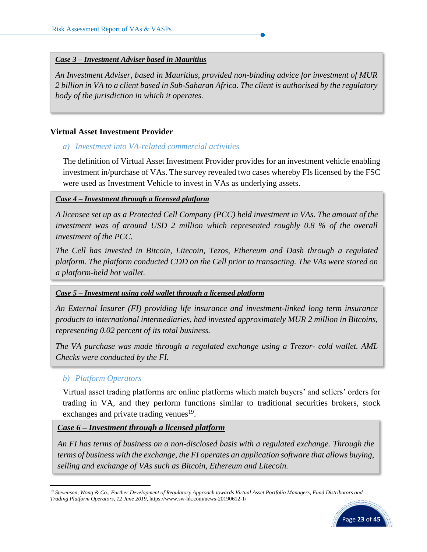#### *Case 3 – Investment Adviser based in Mauritius*

*An Investment Adviser, based in Mauritius, provided non-binding advice for investment of MUR 2 billion in VA to a client based in Sub-Saharan Africa. The client is authorised by the regulatory body of the jurisdiction in which it operates.*

#### **Virtual Asset Investment Provider**

#### *a) Investment into VA-related commercial activities*

The definition of Virtual Asset Investment Provider provides for an investment vehicle enabling investment in/purchase of VAs. The survey revealed two cases whereby FIs licensed by the FSC were used as Investment Vehicle to invest in VAs as underlying assets.

#### *Case 4 – Investment through a licensed platform*

*A licensee set up as a Protected Cell Company (PCC) held investment in VAs. The amount of the investment was of around USD 2 million which represented roughly 0.8 % of the overall investment of the PCC.* 

*The Cell has invested in Bitcoin, Litecoin, Tezos, Ethereum and Dash through a regulated platform. The platform conducted CDD on the Cell prior to transacting. The VAs were stored on a platform-held hot wallet.* 

#### *Case 5 – Investment using cold wallet through a licensed platform*

*An External Insurer (FI) providing life insurance and investment-linked long term insurance products to international intermediaries, had invested approximately MUR 2 million in Bitcoins, representing 0.02 percent of its total business.*

*The VA purchase was made through a regulated exchange using a Trezor- cold wallet. AML Checks were conducted by the FI.*

#### *b) Platform Operators*

Virtual asset trading platforms are online platforms which match buyers' and sellers' orders for trading in VA, and they perform functions similar to traditional securities brokers, stock exchanges and private trading venues $19$ .

#### *Case 6 – Investment through a licensed platform*

*An FI has terms of business on a non-disclosed basis with a regulated exchange. Through the terms of business with the exchange, the FI operates an application software that allows buying, selling and exchange of VAs such as Bitcoin, Ethereum and Litecoin.* 

<sup>19</sup> *Stevenson, Wong & Co., Further Development of Regulatory Approach towards Virtual Asset Portfolio Managers, Fund Distributors and Trading Platform Operators, 12 June 2019,* https://www.sw-hk.com/news-20190612-1/

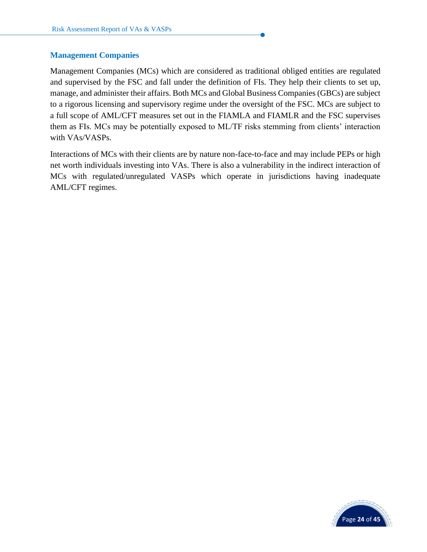#### **Management Companies**

Management Companies (MCs) which are considered as traditional obliged entities are regulated and supervised by the FSC and fall under the definition of FIs. They help their clients to set up, manage, and administer their affairs. Both MCs and Global Business Companies (GBCs) are subject to a rigorous licensing and supervisory regime under the oversight of the FSC. MCs are subject to a full scope of AML/CFT measures set out in the FIAMLA and FIAMLR and the FSC supervises them as FIs. MCs may be potentially exposed to ML/TF risks stemming from clients' interaction with VAs/VASPs.

Interactions of MCs with their clients are by nature non-face-to-face and may include PEPs or high net worth individuals investing into VAs. There is also a vulnerability in the indirect interaction of MCs with regulated/unregulated VASPs which operate in jurisdictions having inadequate AML/CFT regimes.

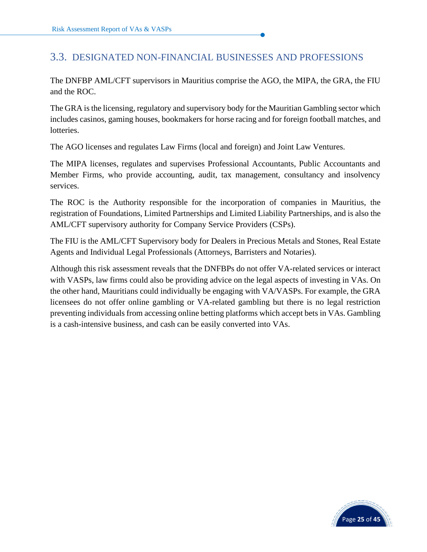# <span id="page-26-0"></span>3.3. DESIGNATED NON-FINANCIAL BUSINESSES AND PROFESSIONS

The DNFBP AML/CFT supervisors in Mauritius comprise the AGO, the MIPA, the GRA, the FIU and the ROC.

The GRA is the licensing, regulatory and supervisory body for the Mauritian Gambling sector which includes casinos, gaming houses, bookmakers for horse racing and for foreign football matches, and lotteries.

The AGO licenses and regulates Law Firms (local and foreign) and Joint Law Ventures.

The MIPA licenses, regulates and supervises Professional Accountants, Public Accountants and Member Firms, who provide accounting, audit, tax management, consultancy and insolvency services.

The ROC is the Authority responsible for the incorporation of companies in Mauritius, the registration of Foundations, Limited Partnerships and Limited Liability Partnerships, and is also the AML/CFT supervisory authority for Company Service Providers (CSPs).

The FIU is the AML/CFT Supervisory body for Dealers in Precious Metals and Stones, Real Estate Agents and Individual Legal Professionals (Attorneys, Barristers and Notaries).

Although this risk assessment reveals that the DNFBPs do not offer VA-related services or interact with VASPs, law firms could also be providing advice on the legal aspects of investing in VAs. On the other hand, Mauritians could individually be engaging with VA/VASPs. For example, the GRA licensees do not offer online gambling or VA-related gambling but there is no legal restriction preventing individuals from accessing online betting platforms which accept bets in VAs. Gambling is a cash-intensive business, and cash can be easily converted into VAs.

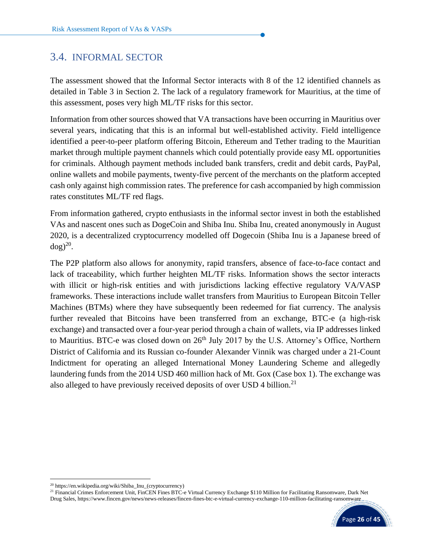# <span id="page-27-0"></span>3.4. INFORMAL SECTOR

The assessment showed that the Informal Sector interacts with 8 of the 12 identified channels as detailed in Table 3 in Section 2. The lack of a regulatory framework for Mauritius, at the time of this assessment, poses very high ML/TF risks for this sector.

Information from other sources showed that VA transactions have been occurring in Mauritius over several years, indicating that this is an informal but well-established activity. Field intelligence identified a peer-to-peer platform offering Bitcoin, Ethereum and Tether trading to the Mauritian market through multiple payment channels which could potentially provide easy ML opportunities for criminals. Although payment methods included bank transfers, credit and debit cards, PayPal, online wallets and mobile payments, twenty-five percent of the merchants on the platform accepted cash only against high commission rates. The preference for cash accompanied by high commission rates constitutes ML/TF red flags.

From information gathered, crypto enthusiasts in the informal sector invest in both the established VAs and nascent ones such as DogeCoin and Shiba Inu. Shiba Inu, created anonymously in August 2020, is a decentralized cryptocurrency modelled off Dogecoin (Shiba Inu is a Japanese breed of  $\log$ )<sup>20</sup>.

The P2P platform also allows for anonymity, rapid transfers, absence of face-to-face contact and lack of traceability, which further heighten ML/TF risks. Information shows the sector interacts with illicit or high-risk entities and with jurisdictions lacking effective regulatory VA/VASP frameworks. These interactions include wallet transfers from Mauritius to European Bitcoin Teller Machines (BTMs) where they have subsequently been redeemed for fiat currency. The analysis further revealed that Bitcoins have been transferred from an exchange, BTC-e (a high-risk exchange) and transacted over a four-year period through a chain of wallets, via IP addresses linked to Mauritius. BTC-e was closed down on 26<sup>th</sup> July 2017 by the U.S. Attorney's Office, Northern District of California and its Russian co-founder Alexander Vinnik was charged under a 21-Count Indictment for operating an alleged International Money Laundering Scheme and allegedly laundering funds from the 2014 USD 460 million hack of Mt. Gox (Case box 1). The exchange was also alleged to have previously received deposits of over USD 4 billion.<sup>21</sup>

<sup>&</sup>lt;sup>21</sup> Financial Crimes Enforcement Unit, FinCEN Fines BTC-e Virtual Currency Exchange \$110 Million for Facilitating Ransomware, Dark Net Drug Sales, https://www.fincen.gov/news/news-releases/fincen-fines-btc-e-virtual-currency-exchange-110-million-facilitating-ransomware



<sup>20</sup> https://en.wikipedia.org/wiki/Shiba\_Inu\_(cryptocurrency)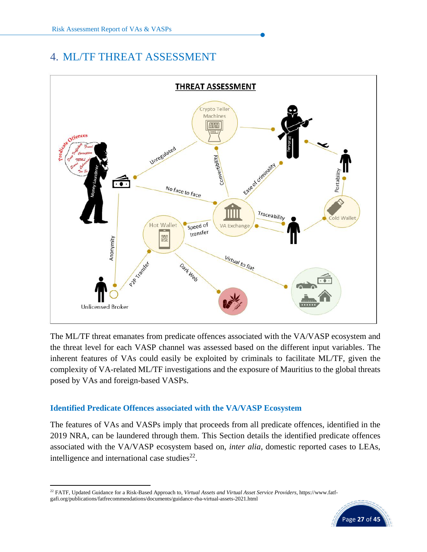# <span id="page-28-0"></span>4. ML/TF THREAT ASSESSMENT



The ML/TF threat emanates from predicate offences associated with the VA/VASP ecosystem and the threat level for each VASP channel was assessed based on the different input variables. The inherent features of VAs could easily be exploited by criminals to facilitate ML/TF, given the complexity of VA-related ML/TF investigations and the exposure of Mauritius to the global threats posed by VAs and foreign-based VASPs.

## **Identified Predicate Offences associated with the VA/VASP Ecosystem**

The features of VAs and VASPs imply that proceeds from all predicate offences, identified in the 2019 NRA, can be laundered through them. This Section details the identified predicate offences associated with the VA/VASP ecosystem based on, *inter alia*, domestic reported cases to LEAs, intelligence and international case studies $^{22}$ .

<sup>22</sup> FATF, Updated Guidance for a Risk-Based Approach to, *Virtual Assets and Virtual Asset Service Providers*, https://www.fatfgafi.org/publications/fatfrecommendations/documents/guidance-rba-virtual-assets-2021.html

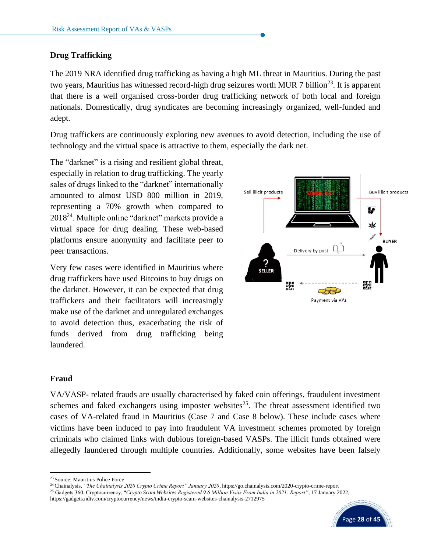#### **Drug Trafficking**

The 2019 NRA identified drug trafficking as having a high ML threat in Mauritius. During the past two years, Mauritius has witnessed record-high drug seizures worth MUR 7 billion<sup>23</sup>. It is apparent that there is a well organised cross-border drug trafficking network of both local and foreign nationals. Domestically, drug syndicates are becoming increasingly organized, well-funded and adept.

Drug traffickers are continuously exploring new avenues to avoid detection, including the use of technology and the virtual space is attractive to them, especially the dark net.

The "darknet" is a rising and resilient global threat, especially in relation to drug trafficking. The yearly sales of drugs linked to the "darknet" internationally amounted to almost USD 800 million in 2019, representing a 70% growth when compared to  $2018^{24}$ . Multiple online "darknet" markets provide a virtual space for drug dealing. These web-based platforms ensure anonymity and facilitate peer to peer transactions.

Very few cases were identified in Mauritius where drug traffickers have used Bitcoins to buy drugs on the darknet. However, it can be expected that drug traffickers and their facilitators will increasingly make use of the darknet and unregulated exchanges to avoid detection thus, exacerbating the risk of funds derived from drug trafficking being laundered.



#### **Fraud**

VA/VASP- related frauds are usually characterised by faked coin offerings, fraudulent investment schemes and faked exchangers using imposter websites<sup>25</sup>. The threat assessment identified two cases of VA-related fraud in Mauritius (Case 7 and Case 8 below). These include cases where victims have been induced to pay into fraudulent VA investment schemes promoted by foreign criminals who claimed links with dubious foreign-based VASPs. The illicit funds obtained were allegedly laundered through multiple countries. Additionally, some websites have been falsely

https://gadgets.ndtv.com/cryptocurrency/news/india-crypto-scam-websites-chainalysis-2712975



<sup>23</sup> Source: Mauritius Police Force

<sup>24</sup>Chainalysis, *"The Chainalysis 2020 Crypto Crime Report" January 2020*, https://go.chainalysis.com/2020-crypto-crime-report

<sup>25</sup> Gadgets 360, Cryptocurrency, "*Crypto Scam Websites Registered 9.6 Million Visits From India in 2021: Report"*, 17 January 2022,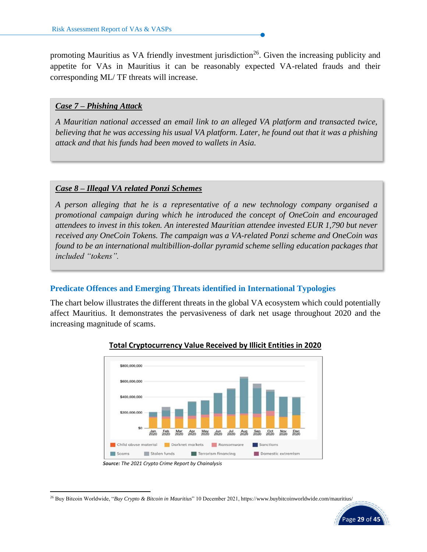promoting Mauritius as VA friendly investment jurisdiction<sup>26</sup>. Given the increasing publicity and appetite for VAs in Mauritius it can be reasonably expected VA-related frauds and their corresponding ML/ TF threats will increase.

#### *Case 7 – Phishing Attack*

*A Mauritian national accessed an email link to an alleged VA platform and transacted twice, believing that he was accessing his usual VA platform. Later, he found out that it was a phishing attack and that his funds had been moved to wallets in Asia.*

#### *Case 8 – Illegal VA related Ponzi Schemes*

*A person alleging that he is a representative of a new technology company organised a promotional campaign during which he introduced the concept of OneCoin and encouraged attendees to invest in this token. An interested Mauritian attendee invested EUR 1,790 but never received any OneCoin Tokens. The campaign was a VA-related Ponzi scheme and OneCoin was found to be an international multibillion-dollar pyramid scheme selling education packages that included "tokens".*

#### **Predicate Offences and Emerging Threats identified in International Typologies**

The chart below illustrates the different threats in the global VA ecosystem which could potentially affect Mauritius. It demonstrates the pervasiveness of dark net usage throughout 2020 and the increasing magnitude of scams.



#### **Total Cryptocurrency Value Received by Illicit Entities in 2020**

<sup>26</sup> Buy Bitcoin Worldwide, "*Buy Crypto & Bitcoin in Mauritius*" 10 December 2021, https://www.buybitcoinworldwide.com/mauritius/



*Source: The 2021 Crypto Crime Report by Chainalysis*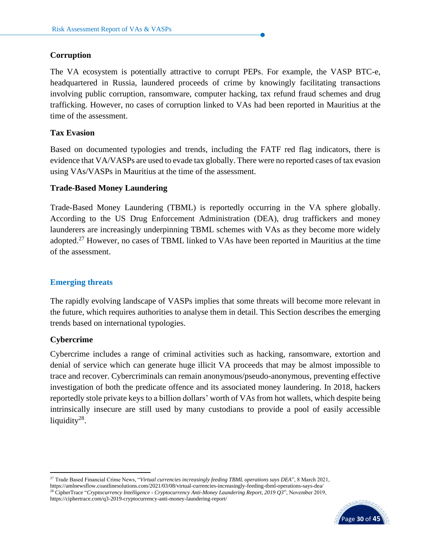#### **Corruption**

The VA ecosystem is potentially attractive to corrupt PEPs. For example, the VASP BTC-e, headquartered in Russia, laundered proceeds of crime by knowingly facilitating transactions involving public corruption, ransomware, computer hacking, tax refund fraud schemes and drug trafficking. However, no cases of corruption linked to VAs had been reported in Mauritius at the time of the assessment.

#### **Tax Evasion**

Based on documented typologies and trends, including the FATF red flag indicators, there is evidence that VA/VASPs are used to evade tax globally. There were no reported cases of tax evasion using VAs/VASPs in Mauritius at the time of the assessment.

#### **Trade-Based Money Laundering**

Trade-Based Money Laundering (TBML) is reportedly occurring in the VA sphere globally. According to the US Drug Enforcement Administration (DEA), drug traffickers and money launderers are increasingly underpinning TBML schemes with VAs as they become more widely adopted.<sup>27</sup> However, no cases of TBML linked to VAs have been reported in Mauritius at the time of the assessment.

#### **Emerging threats**

The rapidly evolving landscape of VASPs implies that some threats will become more relevant in the future, which requires authorities to analyse them in detail. This Section describes the emerging trends based on international typologies.

#### **Cybercrime**

Cybercrime includes a range of criminal activities such as hacking, ransomware, extortion and denial of service which can generate huge illicit VA proceeds that may be almost impossible to trace and recover. Cybercriminals can remain anonymous/pseudo-anonymous, preventing effective investigation of both the predicate offence and its associated money laundering. In 2018, hackers reportedly stole private keys [to a billion dollars'](https://www.reuters.com/article/us-crypto-currency-crime/cryptocurrency-thefts-scams-hit-1-7-billion-in-2018-report-idUSKCN1PN1SQ) worth of VAs from hot wallets, which despite being intrinsically insecure are still used by many custodians to provide a pool of easily accessible liquidity<sup>28</sup>.

<sup>27</sup> Trade Based Financial Crime News, "*Virtual currencies increasingly feeding TBML operations says DEA*", 8 March 2021, https://amlnewsflow.coastlinesolutions.com/2021/03/08/virtual-currencies-increasingly-feeding-tbml-operations-says-dea/ <sup>28</sup> CipherTrace "*Cryptocurrency Intelligence - Cryptocurrency Anti-Money Laundering Report, 2019 Q3*", November 2019, https://ciphertrace.com/q3-2019-cryptocurrency-anti-money-laundering-report/

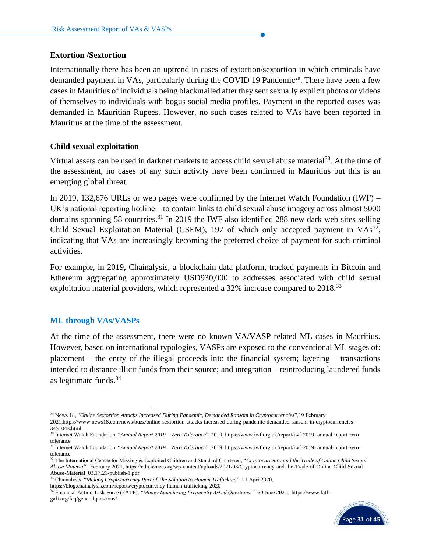#### **Extortion /Sextortion**

Internationally there has been an uptrend in cases of extortion/sextortion in which criminals have demanded payment in VAs, particularly during the COVID 19 Pandemic<sup>29</sup>. There have been a few casesin Mauritius of individuals being blackmailed after they sent sexually explicit photos or videos of themselves to individuals with bogus social media profiles. Payment in the reported cases was demanded in Mauritian Rupees. However, no such cases related to VAs have been reported in Mauritius at the time of the assessment.

#### **Child sexual exploitation**

Virtual assets can be used in darknet markets to access child sexual abuse material<sup>30</sup>. At the time of the assessment, no cases of any such activity have been confirmed in Mauritius but this is an emerging global threat.

In 2019, 132,676 URLs or web pages were confirmed by the Internet Watch Foundation (IWF) – UK's national reporting hotline – to contain links to child sexual abuse imagery across almost 5000 domains spanning 58 countries.<sup>31</sup> In 2019 the IWF also identified 288 new dark web sites selling Child Sexual Exploitation Material (CSEM), 197 of which only accepted payment in  $VAs<sup>32</sup>$ , indicating that VAs are increasingly becoming the preferred choice of payment for such criminal activities.

For example, in 2019, Chainalysis, a blockchain data platform, tracked payments in Bitcoin and Ethereum aggregating approximately USD930,000 to addresses associated with child sexual exploitation material providers, which represented a 32% increase compared to 2018.<sup>33</sup>

#### **ML through VAs/VASPs**

At the time of the assessment, there were no known VA/VASP related ML cases in Mauritius. However, based on international typologies, VASPs are exposed to the conventional ML stages of: placement – the entry of the illegal proceeds into the financial system; layering – transactions intended to distance illicit funds from their source; and integration – reintroducing laundered funds as legitimate funds. $34$ 

<sup>34</sup> Financial Action Task Force (FATF), *"Money Laundering Frequently Asked Questions.",* 20 June 2021, [https://www.fatf](https://www.fatf-gafi.org/faq/generalquestions/)[gafi.org/faq/generalquestions/](https://www.fatf-gafi.org/faq/generalquestions/)



<sup>29</sup> News 18, "*Online Sextortion Attacks Increased During Pandemic, Demanded Ransom in Cryptocurrencies*",19 February 2021,https://www.news18.com/news/buzz/online-sextortion-attacks-increased-during-pandemic-demanded-ransom-in-cryptocurrencies-

<sup>3451043.</sup>html

<sup>30</sup> Internet Watch Foundation, "*Annual Report 2019 – Zero Tolerance*", 2019, https://www.iwf.org.uk/report/iwf-2019- annual-report-zerotolerance

<sup>31</sup> Internet Watch Foundation, "*Annual Report 2019 – Zero Tolerance*", 2019, https://www.iwf.org.uk/report/iwf-2019- annual-report-zerotolerance

<sup>32</sup> The International Centre for Missing & Exploited Children and Standard Chartered, "*Cryptocurrency and the Trade of Online Child Sexual Abuse Material*", February 2021, https://cdn.icmec.org/wp-content/uploads/2021/03/Cryptocurrency-and-the-Trade-of-Online-Child-Sexual-Abuse-Material\_03.17.21-publish-1.pdf

<sup>33</sup> Chainalysis, "*Making Cryptocurrency Part of The Solution to Human Trafficking*", 21 April2020,

https://blog.chainalysis.com/reports/cryptocurrency-human-trafficking-2020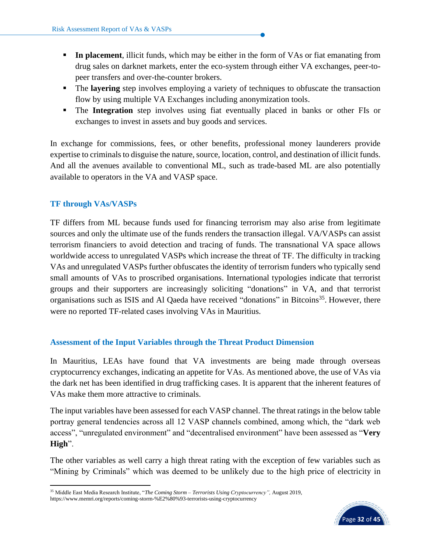- **III** In placement, illicit funds, which may be either in the form of VAs or fiat emanating from drug sales on darknet markets, enter the eco-system through either VA exchanges, peer-topeer transfers and over-the-counter brokers.
- **The layering** step involves employing a variety of techniques to obfuscate the transaction flow by using multiple VA Exchanges including anonymization tools.
- **The Integration** step involves using fiat eventually placed in banks or other FIs or exchanges to invest in assets and buy goods and services.

In exchange for commissions, fees, or other benefits, professional money launderers provide expertise to criminals to disguise the nature, source, location, control, and destination of illicit funds. And all the avenues available to conventional ML, such as trade-based ML are also potentially available to operators in the VA and VASP space.

## **TF through VAs/VASPs**

TF differs from ML because funds used for financing terrorism may also arise from legitimate sources and only the ultimate use of the funds renders the transaction illegal. VA/VASPs can assist terrorism financiers to avoid detection and tracing of funds. The transnational VA space allows worldwide access to unregulated VASPs which increase the threat of TF. The difficulty in tracking VAs and unregulated VASPs further obfuscates the identity of terrorism funders who typically send small amounts of VAs to proscribed organisations. International typologies indicate that terrorist groups and their supporters are increasingly soliciting "donations" in VA, and that terrorist organisations such as ISIS and Al Qaeda have received "donations" in Bitcoins<sup>35</sup>. However, there were no reported TF-related cases involving VAs in Mauritius.

#### **Assessment of the Input Variables through the Threat Product Dimension**

In Mauritius, LEAs have found that VA investments are being made through overseas cryptocurrency exchanges, indicating an appetite for VAs. As mentioned above, the use of VAs via the dark net has been identified in drug trafficking cases. It is apparent that the inherent features of VAs make them more attractive to criminals.

The input variables have been assessed for each VASP channel. The threat ratings in the below table portray general tendencies across all 12 VASP channels combined, among which, the "dark web access", "unregulated environment" and "decentralised environment" have been assessed as "**Very High**".

The other variables as well carry a high threat rating with the exception of few variables such as "Mining by Criminals" which was deemed to be unlikely due to the high price of electricity in

<sup>35</sup> Middle East Media Research Institute, "*The Coming Storm – Terrorists Using Cryptocurrency",* August 2019, https://www.memri.org/reports/coming-storm-%E2%80%93-terrorists-using-cryptocurrency

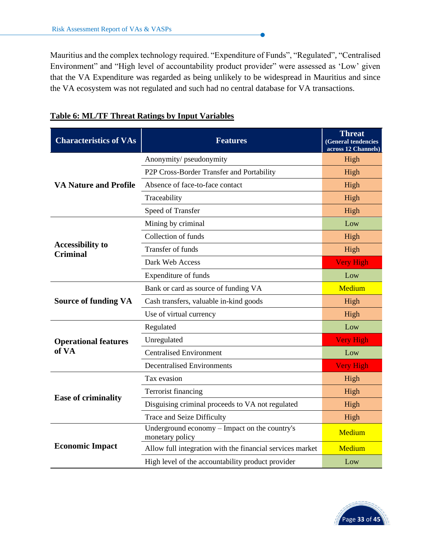Mauritius and the complex technology required. "Expenditure of Funds", "Regulated", "Centralised Environment" and "High level of accountability product provider" were assessed as 'Low' given that the VA Expenditure was regarded as being unlikely to be widespread in Mauritius and since the VA ecosystem was not regulated and such had no central database for VA transactions.

| <b>Characteristics of VAs</b>              | <b>Features</b>                                                  | <b>Threat</b><br>(General tendencies<br>across 12 Channels) |
|--------------------------------------------|------------------------------------------------------------------|-------------------------------------------------------------|
|                                            | Anonymity/ pseudonymity                                          | High                                                        |
|                                            | P2P Cross-Border Transfer and Portability                        | High                                                        |
| <b>VA Nature and Profile</b>               | Absence of face-to-face contact                                  | High                                                        |
|                                            | Traceability                                                     | High                                                        |
|                                            | Speed of Transfer                                                | High                                                        |
|                                            | Mining by criminal                                               | Low                                                         |
|                                            | Collection of funds                                              | High                                                        |
| <b>Accessibility to</b><br><b>Criminal</b> | Transfer of funds                                                | High                                                        |
|                                            | Dark Web Access                                                  | <b>Very High</b>                                            |
|                                            | Expenditure of funds                                             | Low                                                         |
|                                            | Bank or card as source of funding VA                             | Medium                                                      |
| <b>Source of funding VA</b>                | Cash transfers, valuable in-kind goods                           | High                                                        |
|                                            | Use of virtual currency                                          | High                                                        |
|                                            | Regulated                                                        | Low                                                         |
| <b>Operational features</b>                | Unregulated                                                      | <b>Very High</b>                                            |
| of VA                                      | <b>Centralised Environment</b>                                   | Low                                                         |
|                                            | <b>Decentralised Environments</b>                                | <b>Very High</b>                                            |
|                                            | Tax evasion                                                      | High                                                        |
|                                            | Terrorist financing                                              | High                                                        |
| <b>Ease of criminality</b>                 | Disguising criminal proceeds to VA not regulated                 | High                                                        |
|                                            | <b>Trace and Seize Difficulty</b>                                | High                                                        |
|                                            | Underground economy – Impact on the country's<br>monetary policy | Medium                                                      |
| <b>Economic Impact</b>                     | Allow full integration with the financial services market        | Medium                                                      |
|                                            | High level of the accountability product provider                | Low                                                         |

# **Table 6: ML/TF Threat Ratings by Input Variables**

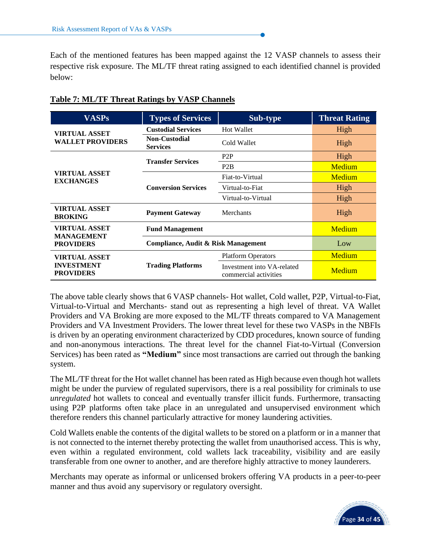Each of the mentioned features has been mapped against the 12 VASP channels to assess their respective risk exposure. The ML/TF threat rating assigned to each identified channel is provided below:

| <b>VASPs</b>                              | <b>Types of Services</b>                | <b>Threat Rating</b>                                |        |
|-------------------------------------------|-----------------------------------------|-----------------------------------------------------|--------|
| <b>VIRTUAL ASSET</b>                      | <b>Custodial Services</b>               | <b>Hot Wallet</b>                                   | High   |
| <b>WALLET PROVIDERS</b>                   | <b>Non-Custodial</b><br><b>Services</b> | Cold Wallet                                         | High   |
|                                           | <b>Transfer Services</b>                | P <sub>2</sub> P                                    | High   |
|                                           |                                         | P <sub>2</sub> B                                    | Medium |
| <b>VIRTUAL ASSET</b><br><b>EXCHANGES</b>  |                                         | Fiat-to-Virtual                                     | Medium |
|                                           | <b>Conversion Services</b>              | Virtual-to-Fiat                                     | High   |
|                                           |                                         | Virtual-to-Virtual                                  | High   |
| <b>VIRTUAL ASSET</b><br><b>BROKING</b>    | <b>Payment Gateway</b>                  | Merchants                                           | High   |
| <b>VIRTUAL ASSET</b><br><b>MANAGEMENT</b> | <b>Fund Management</b>                  | Medium                                              |        |
| <b>PROVIDERS</b>                          | Compliance, Audit & Risk Management     | Low                                                 |        |
| <b>VIRTUAL ASSET</b>                      |                                         | <b>Platform Operators</b>                           | Medium |
| <b>INVESTMENT</b><br><b>PROVIDERS</b>     | <b>Trading Platforms</b>                | Investment into VA-related<br>commercial activities | Medium |

#### **Table 7: ML/TF Threat Ratings by VASP Channels**

The above table clearly shows that 6 VASP channels- Hot wallet, Cold wallet, P2P, Virtual-to-Fiat, Virtual-to-Virtual and Merchants- stand out as representing a high level of threat. VA Wallet Providers and VA Broking are more exposed to the ML/TF threats compared to VA Management Providers and VA Investment Providers. The lower threat level for these two VASPs in the NBFIs is driven by an operating environment characterized by CDD procedures, known source of funding and non-anonymous interactions. The threat level for the channel Fiat-to-Virtual (Conversion Services) has been rated as **"Medium"** since most transactions are carried out through the banking system.

The ML/TF threat for the Hot wallet channel has been rated as High because even though hot wallets might be under the purview of regulated supervisors, there is a real possibility for criminals to use *unregulated* hot wallets to conceal and eventually transfer illicit funds. Furthermore, transacting using P2P platforms often take place in an unregulated and unsupervised environment which therefore renders this channel particularly attractive for money laundering activities.

Cold Wallets enable the contents of the digital wallets to be stored on a platform or in a manner that is not connected to the internet thereby protecting the wallet from unauthorised access. This is why, even within a regulated environment, cold wallets lack traceability, visibility and are easily transferable from one owner to another, and are therefore highly attractive to money launderers.

Merchants may operate as informal or unlicensed brokers offering VA products in a peer-to-peer manner and thus avoid any supervisory or regulatory oversight.

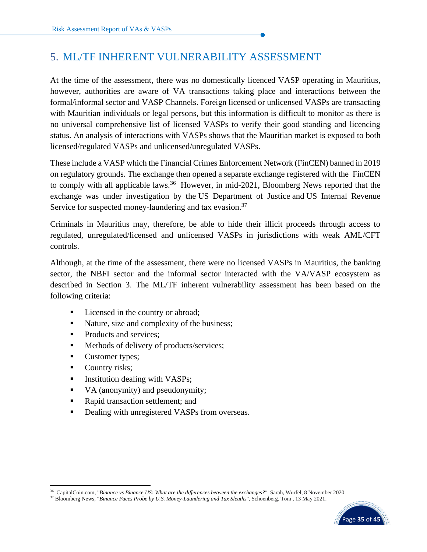# <span id="page-36-0"></span>5. ML/TF INHERENT VULNERABILITY ASSESSMENT

At the time of the assessment, there was no domestically licenced VASP operating in Mauritius, however, authorities are aware of VA transactions taking place and interactions between the formal/informal sector and VASP Channels. Foreign licensed or unlicensed VASPs are transacting with Mauritian individuals or legal persons, but this information is difficult to monitor as there is no universal comprehensive list of licensed VASPs to verify their good standing and licencing status. An analysis of interactions with VASPs shows that the Mauritian market is exposed to both licensed/regulated VASPs and unlicensed/unregulated VASPs.

These include a VASP which the Financial Crimes Enforcement Network (FinCEN) banned in 2019 on regulatory grounds. The exchange then opened a separate exchange registered with the [FinCEN](https://en.wikipedia.org/wiki/Financial_Crimes_Enforcement_Network) to comply with all applicable laws.<sup>36</sup> However, in mid-2021, Bloomberg News reported that the exchange was under investigation by the [US Department of Justice](https://en.wikipedia.org/wiki/United_States_Department_of_Justice) and US [Internal Revenue](https://en.wikipedia.org/wiki/Internal_Revenue_Service)  [Service](https://en.wikipedia.org/wiki/Internal_Revenue_Service) for suspected money-laundering and tax evasion.<sup>37</sup>

Criminals in Mauritius may, therefore, be able to hide their illicit proceeds through access to regulated, unregulated/licensed and unlicensed VASPs in jurisdictions with weak AML/CFT controls.

Although, at the time of the assessment, there were no licensed VASPs in Mauritius, the banking sector, the NBFI sector and the informal sector interacted with the VA/VASP ecosystem as described in Section 3. The ML/TF inherent vulnerability assessment has been based on the following criteria:

- Licensed in the country or abroad;
- Nature, size and complexity of the business;
- Products and services;
- Methods of delivery of products/services;
- Customer types;
- Country risks;
- Institution dealing with VASPs;
- VA (anonymity) and pseudonymity;
- Rapid transaction settlement; and
- Dealing with unregistered VASPs from overseas.

<sup>37</sup> [Bloomberg News,](https://en.wikipedia.org/wiki/Bloomberg_News) "*[Binance Faces Probe by U.S. Money-Laundering and Tax Sleuths](https://www.bloomberg.com/news/articles/2021-05-13/binance-probed-by-u-s-as-money-laundering-tax-sleuths-bore-in)*", Schoenberg, Tom , 13 May 2021.



<sup>36</sup> CapitalCoin.com, "*[Binance vs Binance US: What are the differences between the exchanges?"](https://captainaltcoin.com/binance-vs-binance-us/)* Sarah, Wurfel, 8 November 2020*.*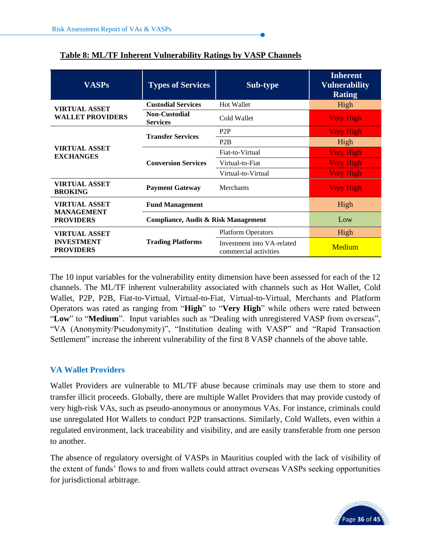| <b>VASPs</b>                              | <b>Types of Services</b><br>Sub-type                   |                                                     | <b>Inherent</b><br><b>Vulnerability</b><br><b>Rating</b> |
|-------------------------------------------|--------------------------------------------------------|-----------------------------------------------------|----------------------------------------------------------|
| <b>VIRTUAL ASSET</b>                      | <b>Custodial Services</b>                              | <b>Hot Wallet</b>                                   | High                                                     |
| <b>WALLET PROVIDERS</b>                   | <b>Non-Custodial</b><br>Cold Wallet<br><b>Services</b> |                                                     | <b>Very High</b>                                         |
| <b>VIRTUAL ASSET</b><br><b>EXCHANGES</b>  | <b>Transfer Services</b>                               | P <sub>2</sub> P                                    | <b>Very High</b>                                         |
|                                           |                                                        | P <sub>2</sub> B                                    | High                                                     |
|                                           |                                                        | Fiat-to-Virtual                                     | <b>Very High</b>                                         |
|                                           | <b>Conversion Services</b>                             | Virtual-to-Fiat                                     | <b>Very High</b>                                         |
|                                           |                                                        | Virtual-to-Virtual                                  | <b>Very High</b>                                         |
| <b>VIRTUAL ASSET</b><br><b>BROKING</b>    | <b>Payment Gateway</b>                                 | Merchants                                           | <b>Very High</b>                                         |
| <b>VIRTUAL ASSET</b><br><b>MANAGEMENT</b> | <b>Fund Management</b>                                 | High                                                |                                                          |
| <b>PROVIDERS</b>                          | Compliance, Audit & Risk Management                    | Low                                                 |                                                          |
| <b>VIRTUAL ASSET</b>                      |                                                        | <b>Platform Operators</b>                           | High                                                     |
| <b>INVESTMENT</b><br><b>PROVIDERS</b>     | <b>Trading Platforms</b>                               | Investment into VA-related<br>commercial activities | Medium                                                   |

## **Table 8: ML/TF Inherent Vulnerability Ratings by VASP Channels**

The 10 input variables for the vulnerability entity dimension have been assessed for each of the 12 channels. The ML/TF inherent vulnerability associated with channels such as Hot Wallet, Cold Wallet, P2P, P2B, Fiat-to-Virtual, Virtual-to-Fiat, Virtual-to-Virtual, Merchants and Platform Operators was rated as ranging from "**High**" to "**Very High**" while others were rated between "**Low**" to "**Medium**". Input variables such as "Dealing with unregistered VASP from overseas", "VA (Anonymity/Pseudonymity)", "Institution dealing with VASP" and "Rapid Transaction Settlement" increase the inherent vulnerability of the first 8 VASP channels of the above table.

## **VA Wallet Providers**

Wallet Providers are vulnerable to ML/TF abuse because criminals may use them to store and transfer illicit proceeds. Globally, there are multiple Wallet Providers that may provide custody of very high-risk VAs, such as pseudo-anonymous or anonymous VAs. For instance, criminals could use unregulated Hot Wallets to conduct P2P transactions. Similarly, Cold Wallets, even within a regulated environment, lack traceability and visibility, and are easily transferable from one person to another.

The absence of regulatory oversight of VASPs in Mauritius coupled with the lack of visibility of the extent of funds' flows to and from wallets could attract overseas VASPs seeking opportunities for jurisdictional arbitrage.

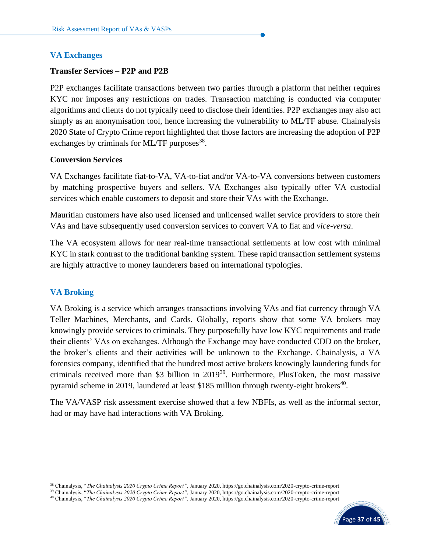#### **VA Exchanges**

#### **Transfer Services – P2P and P2B**

P2P exchanges facilitate transactions between two parties through a platform that neither requires KYC nor imposes any restrictions on trades. Transaction matching is conducted via computer algorithms and clients do not typically need to disclose their identities. P2P exchanges may also act simply as an anonymisation tool, hence increasing the vulnerability to ML/TF abuse. Chainalysis 2020 State of Crypto Crime report highlighted that those factors are increasing the adoption of P2P exchanges by criminals for ML/TF purposes<sup>38</sup>.

#### **Conversion Services**

VA Exchanges facilitate fiat-to-VA, VA-to-fiat and/or VA-to-VA conversions between customers by matching prospective buyers and sellers. VA Exchanges also typically offer VA custodial services which enable customers to deposit and store their VAs with the Exchange.

Mauritian customers have also used licensed and unlicensed wallet service providers to store their VAs and have subsequently used conversion services to convert VA to fiat and *vice-versa*.

The VA ecosystem allows for near real-time transactional settlements at low cost with minimal KYC in stark contrast to the traditional banking system. These rapid transaction settlement systems are highly attractive to money launderers based on international typologies.

#### **VA Broking**

VA Broking is a service which arranges transactions involving VAs and fiat currency through VA Teller Machines, Merchants, and Cards. Globally, reports show that some VA brokers may knowingly provide services to criminals. They purposefully have low KYC requirements and trade their clients' VAs on exchanges. Although the Exchange may have conducted CDD on the broker, the broker's clients and their activities will be unknown to the Exchange. Chainalysis, a VA forensics company, identified that the hundred most active brokers knowingly laundering funds for criminals received more than \$3 billion in 2019<sup>39</sup> . Furthermore, PlusToken, the most massive pyramid scheme in 2019, laundered at least \$185 million through twenty-eight brokers<sup>40</sup>.

The VA/VASP risk assessment exercise showed that a few NBFIs, as well as the informal sector, had or may have had interactions with VA Broking.

<sup>40</sup> Chainalysis, "*The Chainalysis 2020 Crypto Crime Report"*, January 2020, https://go.chainalysis.com/2020-crypto-crime-report



<sup>38</sup> Chainalysis, "*The Chainalysis 2020 Crypto Crime Report"*, January 2020, https://go.chainalysis.com/2020-crypto-crime-report

<sup>39</sup> Chainalysis, "*The Chainalysis 2020 Crypto Crime Report"*, January 2020, https://go.chainalysis.com/2020-crypto-crime-report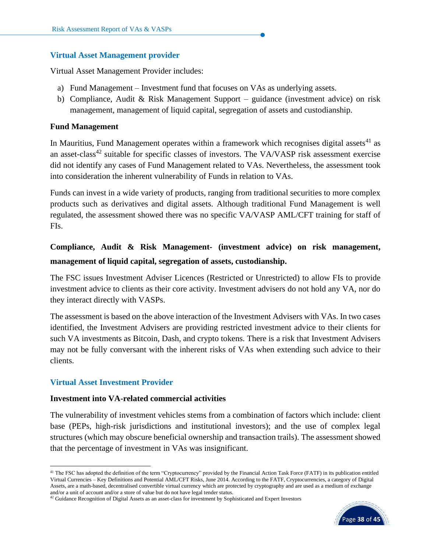#### **Virtual Asset Management provider**

Virtual Asset Management Provider includes:

- a) Fund Management Investment fund that focuses on VAs as underlying assets.
- b) Compliance, Audit & Risk Management Support guidance (investment advice) on risk management, management of liquid capital, segregation of assets and custodianship.

## **Fund Management**

In Mauritius, Fund Management operates within a framework which recognises digital assets<sup>41</sup> as an asset-class<sup>42</sup> suitable for specific classes of investors. The VA/VASP risk assessment exercise did not identify any cases of Fund Management related to VAs. Nevertheless, the assessment took into consideration the inherent vulnerability of Funds in relation to VAs.

Funds can invest in a wide variety of products, ranging from traditional securities to more complex products such as derivatives and digital assets. Although traditional Fund Management is well regulated, the assessment showed there was no specific VA/VASP AML/CFT training for staff of FIs.

# **Compliance, Audit & Risk Management- (investment advice) on risk management, management of liquid capital, segregation of assets, custodianship.**

The FSC issues Investment Adviser Licences (Restricted or Unrestricted) to allow FIs to provide investment advice to clients as their core activity. Investment advisers do not hold any VA, nor do they interact directly with VASPs.

The assessment is based on the above interaction of the Investment Advisers with VAs. In two cases identified, the Investment Advisers are providing restricted investment advice to their clients for such VA investments as Bitcoin, Dash, and crypto tokens. There is a risk that Investment Advisers may not be fully conversant with the inherent risks of VAs when extending such advice to their clients.

## **Virtual Asset Investment Provider**

#### **Investment into VA-related commercial activities**

The vulnerability of investment vehicles stems from a combination of factors which include: client base (PEPs, high-risk jurisdictions and institutional investors); and the use of complex legal structures (which may obscure beneficial ownership and transaction trails). The assessment showed that the percentage of investment in VAs was insignificant.



<sup>&</sup>lt;sup>41</sup> The FSC has adopted the definition of the term "Cryptocurrency" provided by the Financial Action Task Force (FATF) in its publication entitled Virtual Currencies – Key Definitions and Potential AML/CFT Risks, June 2014. According to the FATF, Cryptocurrencies, a category of Digital Assets, are a math-based, decentralised convertible virtual currency which are protected by cryptography and are used as a medium of exchange and/or a unit of account and/or a store of value but do not have legal tender status.

 $42$  Guidance Recognition of Digital Assets as an asset-class for investment by Sophisticated and Expert Investors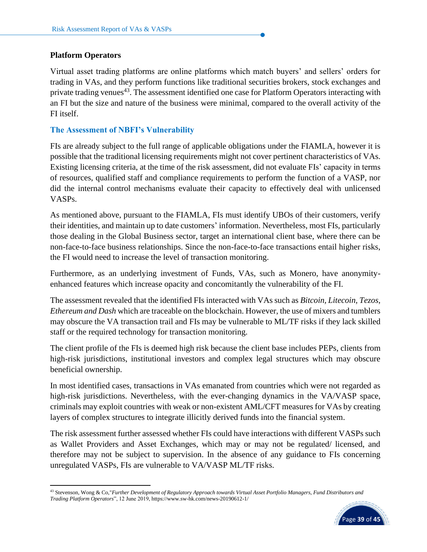#### **Platform Operators**

Virtual asset trading platforms are online platforms which match buyers' and sellers' orders for trading in VAs, and they perform functions like traditional securities brokers, stock exchanges and private trading venues<sup>43</sup>. The assessment identified one case for Platform Operators interacting with an FI but the size and nature of the business were minimal, compared to the overall activity of the FI itself.

#### **The Assessment of NBFI's Vulnerability**

FIs are already subject to the full range of applicable obligations under the FIAMLA, however it is possible that the traditional licensing requirements might not cover pertinent characteristics of VAs. Existing licensing criteria, at the time of the risk assessment, did not evaluate FIs' capacity in terms of resources, qualified staff and compliance requirements to perform the function of a VASP, nor did the internal control mechanisms evaluate their capacity to effectively deal with unlicensed VASPs.

As mentioned above, pursuant to the FIAMLA, FIs must identify UBOs of their customers, verify their identities, and maintain up to date customers' information. Nevertheless, most FIs, particularly those dealing in the Global Business sector, target an international client base, where there can be non-face-to-face business relationships. Since the non-face-to-face transactions entail higher risks, the FI would need to increase the level of transaction monitoring.

Furthermore, as an underlying investment of Funds, VAs, such as Monero, have anonymityenhanced features which increase opacity and concomitantly the vulnerability of the FI.

The assessment revealed that the identified FIs interacted with VAs such as *Bitcoin, Litecoin, Tezos, Ethereum and Dash* which are traceable on the blockchain. However, the use of mixers and tumblers may obscure the VA transaction trail and FIs may be vulnerable to ML/TF risks if they lack skilled staff or the required technology for transaction monitoring.

The client profile of the FIs is deemed high risk because the client base includes PEPs, clients from high-risk jurisdictions, institutional investors and complex legal structures which may obscure beneficial ownership.

In most identified cases, transactions in VAs emanated from countries which were not regarded as high-risk jurisdictions. Nevertheless, with the ever-changing dynamics in the VA/VASP space, criminals may exploit countries with weak or non-existent AML/CFT measures for VAs by creating layers of complex structures to integrate illicitly derived funds into the financial system.

The risk assessment further assessed whether FIs could have interactions with different VASPs such as Wallet Providers and Asset Exchanges, which may or may not be regulated/ licensed, and therefore may not be subject to supervision. In the absence of any guidance to FIs concerning unregulated VASPs, FIs are vulnerable to VA/VASP ML/TF risks.

<sup>43</sup> Stevenson, Wong & Co,"*Further Development of Regulatory Approach towards Virtual Asset Portfolio Managers, Fund Distributors and Trading Platform Operators*", 12 June 2019, <https://www.sw-hk.com/news-20190612-1/>

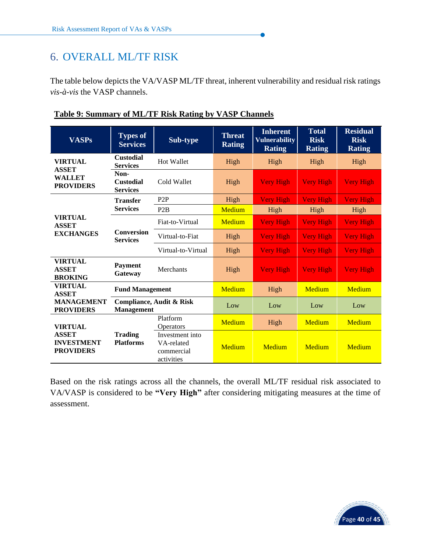# <span id="page-41-0"></span>6. OVERALL ML/TF RISK

The table below depicts the VA/VASP ML/TF threat, inherent vulnerability and residual risk ratings *vis-à-vis* the VASP channels.

| <b>VASPs</b>                                               | <b>Types of</b><br><b>Services</b>          | Sub-type                                                  | <b>Threat</b><br><b>Rating</b> | <b>Inherent</b><br><b>Vulnerability</b><br><b>Rating</b> | <b>Total</b><br><b>Risk</b><br><b>Rating</b> | <b>Residual</b><br><b>Risk</b><br><b>Rating</b> |
|------------------------------------------------------------|---------------------------------------------|-----------------------------------------------------------|--------------------------------|----------------------------------------------------------|----------------------------------------------|-------------------------------------------------|
| <b>VIRTUAL</b>                                             | <b>Custodial</b><br><b>Services</b>         | Hot Wallet                                                | High                           | High                                                     | High                                         | High                                            |
| <b>ASSET</b><br><b>WALLET</b><br><b>PROVIDERS</b>          | Non-<br><b>Custodial</b><br><b>Services</b> | Cold Wallet                                               | High                           | <b>Very High</b>                                         | <b>Very High</b>                             | <b>Very High</b>                                |
|                                                            | <b>Transfer</b>                             | P <sub>2</sub> P                                          | High                           | <b>Very High</b>                                         | <b>Very High</b>                             | <b>Very High</b>                                |
|                                                            | <b>Services</b>                             | P2B                                                       | <b>Medium</b>                  | High                                                     | High                                         | High                                            |
| <b>VIRTUAL</b><br><b>ASSET</b>                             | <b>Conversion</b><br><b>Services</b>        | Fiat-to-Virtual                                           | <b>Medium</b>                  | <b>Very High</b>                                         | <b>Very High</b>                             | <b>Very High</b>                                |
| <b>EXCHANGES</b>                                           |                                             | Virtual-to-Fiat                                           | High                           | <b>Very High</b>                                         | <b>Very High</b>                             | <b>Very High</b>                                |
|                                                            |                                             | Virtual-to-Virtual                                        | High                           | <b>Very High</b>                                         | <b>Very High</b>                             | <b>Very High</b>                                |
| <b>VIRTUAL</b><br><b>ASSET</b><br><b>BROKING</b>           | <b>Payment</b><br>Gateway                   | Merchants                                                 | High                           | <b>Very High</b>                                         | <b>Very High</b>                             | <b>Very High</b>                                |
| <b>VIRTUAL</b><br><b>ASSET</b>                             | <b>Fund Management</b>                      |                                                           | <b>Medium</b>                  | High                                                     | <b>Medium</b>                                | <b>Medium</b>                                   |
| <b>MANAGEMENT</b><br><b>Management</b><br><b>PROVIDERS</b> |                                             | Compliance, Audit & Risk                                  | Low                            | Low                                                      | Low                                          | Low                                             |
| <b>VIRTUAL</b>                                             |                                             | Platform<br>Operators                                     | <b>Medium</b>                  | High                                                     | <b>Medium</b>                                | <b>Medium</b>                                   |
| <b>ASSET</b><br><b>INVESTMENT</b><br><b>PROVIDERS</b>      | <b>Trading</b><br><b>Platforms</b>          | Investment into<br>VA-related<br>commercial<br>activities | Medium                         | Medium                                                   | Medium                                       | Medium                                          |

## **Table 9: Summary of ML/TF Risk Rating by VASP Channels**

Based on the risk ratings across all the channels, the overall ML/TF residual risk associated to VA/VASP is considered to be **"Very High"** after considering mitigating measures at the time of assessment.

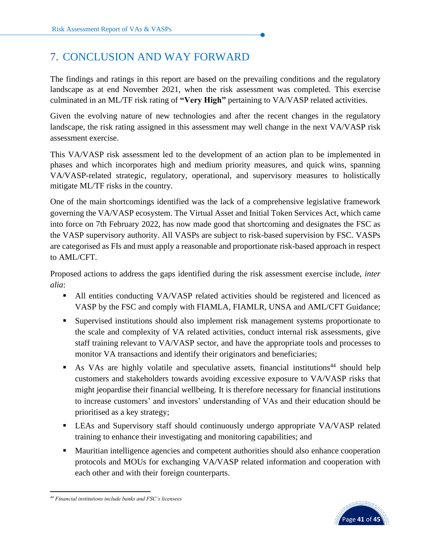# <span id="page-42-0"></span>7. CONCLUSION AND WAY FORWARD

The findings and ratings in this report are based on the prevailing conditions and the regulatory landscape as at end November 2021, when the risk assessment was completed. This exercise culminated in an ML/TF risk rating of **"Very High"** pertaining to VA/VASP related activities.

Given the evolving nature of new technologies and after the recent changes in the regulatory landscape, the risk rating assigned in this assessment may well change in the next VA/VASP risk assessment exercise.

This VA/VASP risk assessment led to the development of an action plan to be implemented in phases and which incorporates high and medium priority measures, and quick wins, spanning VA/VASP-related strategic, regulatory, operational, and supervisory measures to holistically mitigate ML/TF risks in the country.

One of the main shortcomings identified was the lack of a comprehensive legislative framework governing the VA/VASP ecosystem. The Virtual Asset and Initial Token Services Act, which came into force on 7th February 2022, has now made good that shortcoming and designates the FSC as the VASP supervisory authority. All VASPs are subject to risk-based supervision by FSC. VASPs are categorised as FIs and must apply a reasonable and proportionate risk-based approach in respect to AML/CFT.

Proposed actions to address the gaps identified during the risk assessment exercise include, *inter alia*:

- All entities conducting VA/VASP related activities should be registered and licenced as VASP by the FSC and comply with FIAMLA, FIAMLR, UNSA and AML/CFT Guidance;
- **EXA** Supervised institutions should also implement risk management systems proportionate to the scale and complexity of VA related activities, conduct internal risk assessments, give staff training relevant to VA/VASP sector, and have the appropriate tools and processes to monitor VA transactions and identify their originators and beneficiaries;
- **EXECUTE:** As VAs are highly volatile and speculative assets, financial institutions<sup>44</sup> should help customers and stakeholders towards avoiding excessive exposure to VA/VASP risks that might jeopardise their financial wellbeing. It is therefore necessary for financial institutions to increase customers' and investors' understanding of VAs and their education should be prioritised as a key strategy;
- **EXAM** LEAs and Supervisory staff should continuously undergo appropriate VA/VASP related training to enhance their investigating and monitoring capabilities; and
- Mauritian intelligence agencies and competent authorities should also enhance cooperation protocols and MOUs for exchanging VA/VASP related information and cooperation with each other and with their foreign counterparts.



*<sup>44</sup> Financial institutions include banks and FSC's licensees*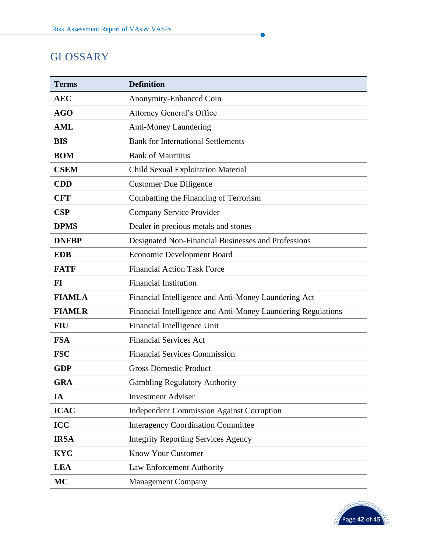# <span id="page-43-0"></span>**GLOSSARY**

| <b>Terms</b>  | <b>Definition</b>                                            |
|---------------|--------------------------------------------------------------|
| <b>AEC</b>    | Anonymity-Enhanced Coin                                      |
| <b>AGO</b>    | <b>Attorney General's Office</b>                             |
| <b>AML</b>    | <b>Anti-Money Laundering</b>                                 |
| <b>BIS</b>    | <b>Bank for International Settlements</b>                    |
| <b>BOM</b>    | <b>Bank of Mauritius</b>                                     |
| <b>CSEM</b>   | <b>Child Sexual Exploitation Material</b>                    |
| <b>CDD</b>    | <b>Customer Due Diligence</b>                                |
| <b>CFT</b>    | Combatting the Financing of Terrorism                        |
| CSP           | <b>Company Service Provider</b>                              |
| <b>DPMS</b>   | Dealer in precious metals and stones                         |
| <b>DNFBP</b>  | Designated Non-Financial Businesses and Professions          |
| <b>EDB</b>    | <b>Economic Development Board</b>                            |
| <b>FATF</b>   | <b>Financial Action Task Force</b>                           |
| $FI$          | <b>Financial Institution</b>                                 |
| <b>FIAMLA</b> | Financial Intelligence and Anti-Money Laundering Act         |
| <b>FIAMLR</b> | Financial Intelligence and Anti-Money Laundering Regulations |
| <b>FIU</b>    | Financial Intelligence Unit                                  |
| <b>FSA</b>    | <b>Financial Services Act</b>                                |
| <b>FSC</b>    | <b>Financial Services Commission</b>                         |
| <b>GDP</b>    | <b>Gross Domestic Product</b>                                |
| <b>GRA</b>    | <b>Gambling Regulatory Authority</b>                         |
| IA            | <b>Investment Adviser</b>                                    |
| <b>ICAC</b>   | <b>Independent Commission Against Corruption</b>             |
| <b>ICC</b>    | <b>Interagency Coordination Committee</b>                    |
| <b>IRSA</b>   | <b>Integrity Reporting Services Agency</b>                   |
| <b>KYC</b>    | <b>Know Your Customer</b>                                    |
| <b>LEA</b>    | <b>Law Enforcement Authority</b>                             |
| <b>MC</b>     | <b>Management Company</b>                                    |

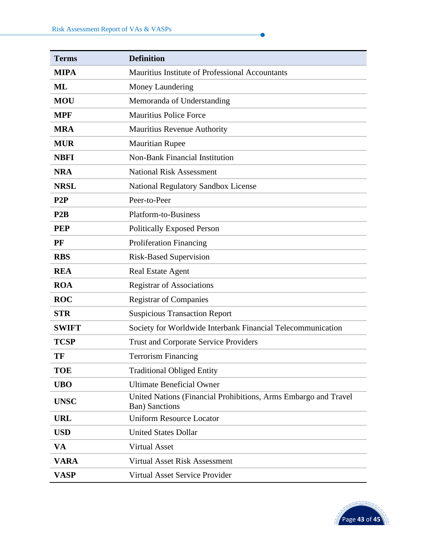| <b>Terms</b> | <b>Definition</b>                                                                        |
|--------------|------------------------------------------------------------------------------------------|
| <b>MIPA</b>  | Mauritius Institute of Professional Accountants                                          |
| <b>ML</b>    | Money Laundering                                                                         |
| <b>MOU</b>   | Memoranda of Understanding                                                               |
| <b>MPF</b>   | <b>Mauritius Police Force</b>                                                            |
| <b>MRA</b>   | <b>Mauritius Revenue Authority</b>                                                       |
| <b>MUR</b>   | <b>Mauritian Rupee</b>                                                                   |
| <b>NBFI</b>  | <b>Non-Bank Financial Institution</b>                                                    |
| <b>NRA</b>   | <b>National Risk Assessment</b>                                                          |
| <b>NRSL</b>  | <b>National Regulatory Sandbox License</b>                                               |
| P2P          | Peer-to-Peer                                                                             |
| P2B          | <b>Platform-to-Business</b>                                                              |
| <b>PEP</b>   | <b>Politically Exposed Person</b>                                                        |
| PF           | <b>Proliferation Financing</b>                                                           |
| <b>RBS</b>   | <b>Risk-Based Supervision</b>                                                            |
| <b>REA</b>   | <b>Real Estate Agent</b>                                                                 |
| <b>ROA</b>   | <b>Registrar of Associations</b>                                                         |
| <b>ROC</b>   | <b>Registrar of Companies</b>                                                            |
| <b>STR</b>   | <b>Suspicious Transaction Report</b>                                                     |
| <b>SWIFT</b> | Society for Worldwide Interbank Financial Telecommunication                              |
| <b>TCSP</b>  | <b>Trust and Corporate Service Providers</b>                                             |
| TF           | <b>Terrorism Financing</b>                                                               |
| <b>TOE</b>   | <b>Traditional Obliged Entity</b>                                                        |
| <b>UBO</b>   | <b>Ultimate Beneficial Owner</b>                                                         |
| <b>UNSC</b>  | United Nations (Financial Prohibitions, Arms Embargo and Travel<br><b>Ban)</b> Sanctions |
| <b>URL</b>   | <b>Uniform Resource Locator</b>                                                          |
| <b>USD</b>   | <b>United States Dollar</b>                                                              |
| VA           | <b>Virtual Asset</b>                                                                     |
| <b>VARA</b>  | Virtual Asset Risk Assessment                                                            |
| <b>VASP</b>  | <b>Virtual Asset Service Provider</b>                                                    |

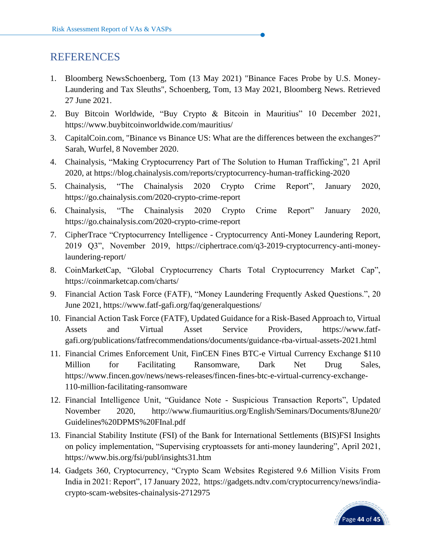# <span id="page-45-0"></span>REFERENCES

- 1. Bloomberg NewsSchoenberg, Tom (13 May 2021) "Binance Faces Probe by U.S. Money-Laundering and Tax Sleuths", Schoenberg, Tom, 13 May 2021, Bloomberg News. Retrieved 27 June 2021.
- 2. Buy Bitcoin Worldwide, "Buy Crypto & Bitcoin in Mauritius" 10 December 2021, <https://www.buybitcoinworldwide.com/mauritius/>
- 3. CapitalCoin.com, "Binance vs Binance US: What are the differences between the exchanges?" Sarah, Wurfel, 8 November 2020.
- 4. Chainalysis, "Making Cryptocurrency Part of The Solution to Human Trafficking", 21 April 2020, at<https://blog.chainalysis.com/reports/cryptocurrency-human-trafficking-2020>
- 5. Chainalysis, "The Chainalysis 2020 Crypto Crime Report", January 2020, <https://go.chainalysis.com/2020-crypto-crime-report>
- 6. Chainalysis, "The Chainalysis 2020 Crypto Crime Report" January 2020, <https://go.chainalysis.com/2020-crypto-crime-report>
- 7. CipherTrace "Cryptocurrency Intelligence Cryptocurrency Anti-Money Laundering Report, 2019 Q3", November 2019, [https://ciphertrace.com/q3-2019-cryptocurrency-anti-money](https://ciphertrace.com/q3-2019-cryptocurrency-anti-money-laundering-report/)[laundering-report/](https://ciphertrace.com/q3-2019-cryptocurrency-anti-money-laundering-report/)
- 8. CoinMarketCap, "Global Cryptocurrency Charts Total Cryptocurrency Market Cap", <https://coinmarketcap.com/charts/>
- 9. Financial Action Task Force (FATF), "Money Laundering Frequently Asked Questions.", 20 June 2021,<https://www.fatf-gafi.org/faq/generalquestions/>
- 10. Financial Action Task Force (FATF), Updated Guidance for a Risk-Based Approach to, Virtual Assets and Virtual Asset Service Providers, https://www.fatfgafi.org/publications/fatfrecommendations/documents/guidance-rba-virtual-assets-2021.html
- 11. Financial Crimes Enforcement Unit, FinCEN Fines BTC-e Virtual Currency Exchange \$110 Million for Facilitating Ransomware, Dark Net Drug Sales, https://www.fincen.gov/news/news-releases/fincen-fines-btc-e-virtual-currency-exchange-110-million-facilitating-ransomware
- 12. Financial Intelligence Unit, "Guidance Note Suspicious Transaction Reports", Updated November 2020, [http://www.fiumauritius.org/English/Seminars/Documents/8June20/](http://www.fiumauritius.org/English/Seminars/Documents/8June20/%20Guidelines%20DPMS%20FInal.pdf)  [Guidelines%20DPMS%20FInal.pdf](http://www.fiumauritius.org/English/Seminars/Documents/8June20/%20Guidelines%20DPMS%20FInal.pdf)
- 13. Financial Stability Institute (FSI) of the Bank for International Settlements (BIS)FSI Insights on policy implementation, "Supervising cryptoassets for anti-money laundering", April 2021, <https://www.bis.org/fsi/publ/insights31.htm>
- 14. Gadgets 360, Cryptocurrency, "Crypto Scam Websites Registered 9.6 Million Visits From India in 2021: Report", 17 January 2022, [https://gadgets.ndtv.com/cryptocurrency/news/india](https://gadgets.ndtv.com/cryptocurrency/news/india-crypto-scam-websites-chainalysis-2712975)[crypto-scam-websites-chainalysis-2712975](https://gadgets.ndtv.com/cryptocurrency/news/india-crypto-scam-websites-chainalysis-2712975)